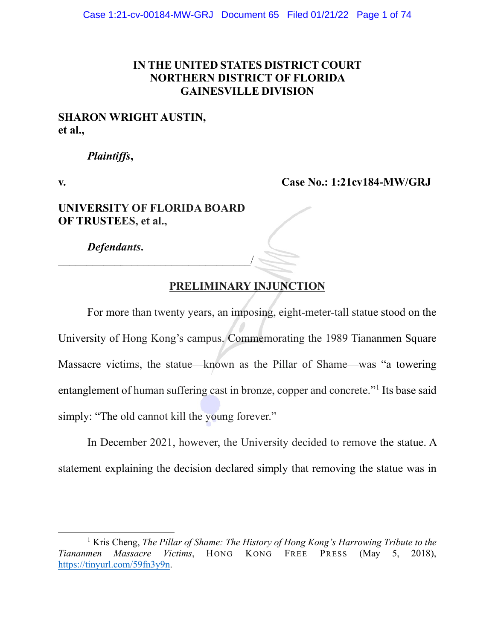# **IN THE UNITED STATES DISTRICT COURT NORTHERN DISTRICT OF FLORIDA GAINESVILLE DIVISION**

# **SHARON WRIGHT AUSTIN, et al.,**

# *Plaintiffs***,**

**v. Case No.: 1:21cv184-MW/GRJ**

# **UNIVERSITY OF FLORIDA BOARD OF TRUSTEES, et al.,**

\_\_\_\_\_\_\_\_\_\_\_\_\_\_\_\_\_\_\_\_\_\_\_\_\_\_\_\_\_\_\_\_\_\_/

*Defendants***.** 

# **PRELIMINARY INJUNCTION**

For more than twenty years, an imposing, eight-meter-tall statue stood on the University of Hong Kong's campus. Commemorating the 1989 Tiananmen Square Massacre victims, the statue—known as the Pillar of Shame—was "a towering entanglement of human suffering cast in bronze, copper and concrete."[1](#page-0-0) Its base said simply: "The old cannot kill the young forever."

In December 2021, however, the University decided to remove the statue. A statement explaining the decision declared simply that removing the statue was in

<span id="page-0-0"></span><sup>&</sup>lt;sup>1</sup> Kris Cheng, *The Pillar of Shame: The History of Hong Kong's Harrowing Tribute to the Tiananmen Massacre Victims*, HONG KONG FREE PRESS (May 5, 2018), [https://tinyurl.com/59fn3y9n.](https://tinyurl.com/59fn3y9n)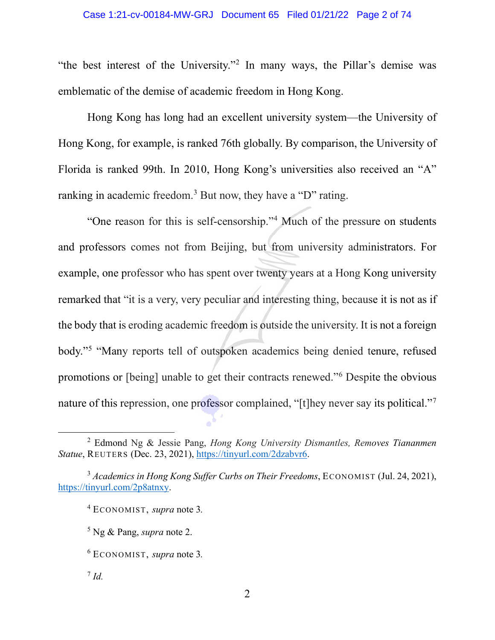## Case 1:21-cv-00184-MW-GRJ Document 65 Filed 01/21/22 Page 2 of 74

"the best interest of the University."[2](#page-1-0) In many ways, the Pillar's demise was emblematic of the demise of academic freedom in Hong Kong.

Hong Kong has long had an excellent university system—the University of Hong Kong, for example, is ranked 76th globally. By comparison, the University of Florida is ranked 99th. In 2010, Hong Kong's universities also received an "A" ranking in academic freedom.<sup>[3](#page-1-1)</sup> But now, they have a "D" rating.

"One reason for this is self-censorship."[4](#page-1-2) Much of the pressure on students and professors comes not from Beijing, but from university administrators. For example, one professor who has spent over twenty years at a Hong Kong university remarked that "it is a very, very peculiar and interesting thing, because it is not as if the body that is eroding academic freedom is outside the university. It is not a foreign body."[5](#page-1-3) "Many reports tell of outspoken academics being denied tenure, refused promotions or [being] unable to get their contracts renewed."[6](#page-1-4) Despite the obvious nature of this repression, one professor complained, "[t]hey never say its political.["7](#page-1-5)

<span id="page-1-0"></span><sup>2</sup> Edmond Ng & Jessie Pang, *Hong Kong University Dismantles, Removes Tiananmen Statue*, REUTERS (Dec. 23, 2021), [https://tinyurl.com/2dzabvr6.](https://tinyurl.com/2dzabvr6)

<span id="page-1-3"></span><span id="page-1-2"></span><span id="page-1-1"></span><sup>3</sup> *Academics in Hong Kong Suffer Curbs on Their Freedoms*, ECONOMIST (Jul. 24, 2021), [https://tinyurl.com/2p8atnxy.](https://tinyurl.com/2p8atnxy)

<sup>4</sup> ECONOMIST, *supra* note 3*.* 

<sup>5</sup> Ng & Pang, *supra* note 2.

<span id="page-1-4"></span><sup>6</sup> ECONOMIST, *supra* note 3*.* 

<span id="page-1-5"></span><sup>7</sup> *Id.*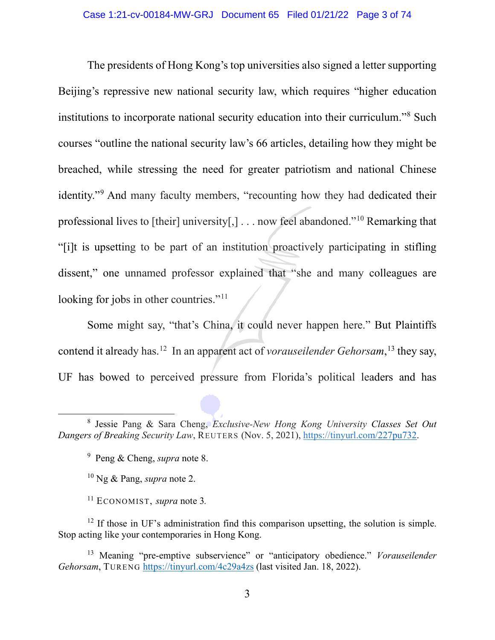The presidents of Hong Kong's top universities also signed a letter supporting Beijing's repressive new national security law, which requires "higher education institutions to incorporate national security education into their curriculum."[8](#page-2-0) Such courses "outline the national security law's 66 articles, detailing how they might be breached, while stressing the need for greater patriotism and national Chinese identity."[9](#page-2-1) And many faculty members, "recounting how they had dedicated their professional lives to [their] university[,] . . . now feel abandoned."[10](#page-2-2) Remarking that "[i]t is upsetting to be part of an institution proactively participating in stifling dissent," one unnamed professor explained that "she and many colleagues are looking for jobs in other countries."<sup>[11](#page-2-3)</sup>

Some might say, "that's China, it could never happen here." But Plaintiffs contend it already has.[12](#page-2-4) In an apparent act of *vorauseilender Gehorsam*, [13](#page-2-5) they say, UF has bowed to perceived pressure from Florida's political leaders and has

<span id="page-2-1"></span><span id="page-2-0"></span><sup>8</sup> Jessie Pang & Sara Cheng, *Exclusive-New Hong Kong University Classes Set Out Dangers of Breaking Security Law*, REUTERS (Nov. 5, 2021), [https://tinyurl.com/227pu732.](https://tinyurl.com/227pu732)

<sup>9</sup> Peng & Cheng, *supra* note 8.

<sup>10</sup> Ng & Pang, *supra* note 2.

<sup>11</sup> ECONOMIST, *supra* note 3*.* 

<span id="page-2-4"></span><span id="page-2-3"></span><span id="page-2-2"></span> $12$  If those in UF's administration find this comparison upsetting, the solution is simple. Stop acting like your contemporaries in Hong Kong.

<span id="page-2-5"></span><sup>13</sup> Meaning "pre-emptive subservience" or "anticipatory obedience." *Vorauseilender Gehorsam*, TURENG <https://tinyurl.com/4c29a4zs>(last visited Jan. 18, 2022).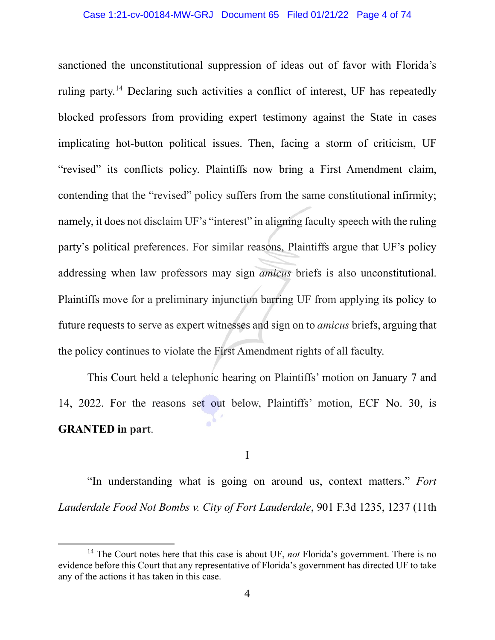sanctioned the unconstitutional suppression of ideas out of favor with Florida's ruling party.<sup>[14](#page-3-0)</sup> Declaring such activities a conflict of interest, UF has repeatedly blocked professors from providing expert testimony against the State in cases implicating hot-button political issues. Then, facing a storm of criticism, UF "revised" its conflicts policy. Plaintiffs now bring a First Amendment claim, contending that the "revised" policy suffers from the same constitutional infirmity; namely, it does not disclaim UF's "interest" in aligning faculty speech with the ruling party's political preferences. For similar reasons, Plaintiffs argue that UF's policy addressing when law professors may sign *amicus* briefs is also unconstitutional. Plaintiffs move for a preliminary injunction barring UF from applying its policy to future requests to serve as expert witnesses and sign on to *amicus* briefs, arguing that the policy continues to violate the First Amendment rights of all faculty.

This Court held a telephonic hearing on Plaintiffs' motion on January 7 and 14, 2022. For the reasons set out below, Plaintiffs' motion, ECF No. 30, is **GRANTED in part**.

I

"In understanding what is going on around us, context matters." *Fort Lauderdale Food Not Bombs v. City of Fort Lauderdale*, 901 F.3d 1235, 1237 (11th

<span id="page-3-0"></span><sup>&</sup>lt;sup>14</sup> The Court notes here that this case is about UF, *not* Florida's government. There is no evidence before this Court that any representative of Florida's government has directed UF to take any of the actions it has taken in this case.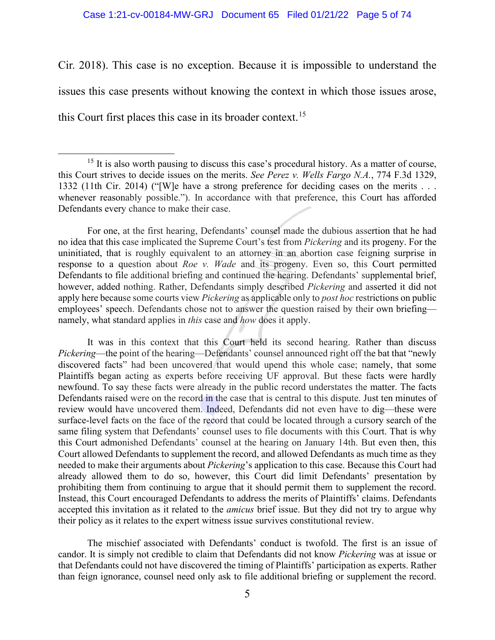### Case 1:21-cv-00184-MW-GRJ Document 65 Filed 01/21/22 Page 5 of 74

Cir. 2018). This case is no exception. Because it is impossible to understand the issues this case presents without knowing the context in which those issues arose, this Court first places this case in its broader context.<sup>15</sup>

For one, at the first hearing, Defendants' counsel made the dubious assertion that he had no idea that this case implicated the Supreme Court's test from *Pickering* and its progeny. For the uninitiated, that is roughly equivalent to an attorney in an abortion case feigning surprise in response to a question about *Roe v. Wade* and its progeny. Even so, this Court permitted Defendants to file additional briefing and continued the hearing. Defendants' supplemental brief, however, added nothing. Rather, Defendants simply described *Pickering* and asserted it did not apply here because some courts view *Pickering* as applicable only to *post hoc* restrictions on public employees' speech. Defendants chose not to answer the question raised by their own briefing namely, what standard applies in *this* case and *how* does it apply.

It was in this context that this Court held its second hearing. Rather than discuss *Pickering*—the point of the hearing—Defendants' counsel announced right off the bat that "newly discovered facts" had been uncovered that would upend this whole case; namely, that some Plaintiffs began acting as experts before receiving UF approval. But these facts were hardly newfound. To say these facts were already in the public record understates the matter. The facts Defendants raised were on the record in the case that is central to this dispute. Just ten minutes of review would have uncovered them. Indeed, Defendants did not even have to dig—these were surface-level facts on the face of the record that could be located through a cursory search of the same filing system that Defendants' counsel uses to file documents with this Court. That is why this Court admonished Defendants' counsel at the hearing on January 14th. But even then, this Court allowed Defendants to supplement the record, and allowed Defendants as much time as they needed to make their arguments about *Pickering*'s application to this case. Because this Court had already allowed them to do so, however, this Court did limit Defendants' presentation by prohibiting them from continuing to argue that it should permit them to supplement the record. Instead, this Court encouraged Defendants to address the merits of Plaintiffs' claims. Defendants accepted this invitation as it related to the *amicus* brief issue. But they did not try to argue why their policy as it relates to the expert witness issue survives constitutional review.

The mischief associated with Defendants' conduct is twofold. The first is an issue of candor. It is simply not credible to claim that Defendants did not know *Pickering* was at issue or that Defendants could not have discovered the timing of Plaintiffs' participation as experts. Rather than feign ignorance, counsel need only ask to file additional briefing or supplement the record.

<span id="page-4-0"></span><sup>&</sup>lt;sup>15</sup> It is also worth pausing to discuss this case's procedural history. As a matter of course, this Court strives to decide issues on the merits. *See Perez v. Wells Fargo N.A.*, 774 F.3d 1329, 1332 (11th Cir. 2014) ("[W]e have a strong preference for deciding cases on the merits . . . whenever reasonably possible."). In accordance with that preference, this Court has afforded Defendants every chance to make their case.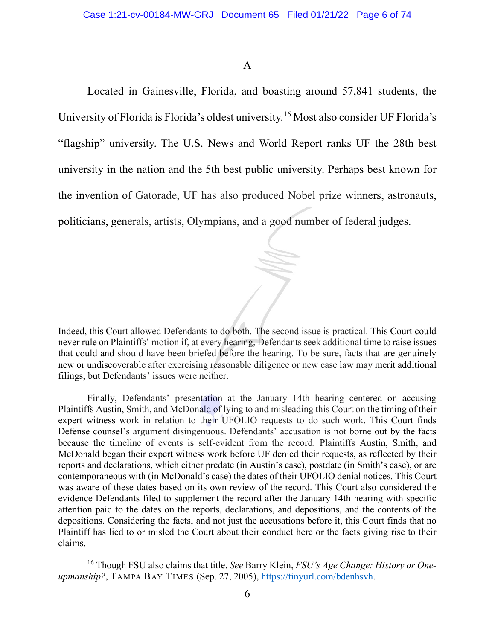# A

Located in Gainesville, Florida, and boasting around 57,841 students, the University of Florida is Florida's oldest university.[16](#page-5-0) Most also consider UF Florida's "flagship" university. The U.S. News and World Report ranks UF the 28th best university in the nation and the 5th best public university. Perhaps best known for the invention of Gatorade, UF has also produced Nobel prize winners, astronauts, politicians, generals, artists, Olympians, and a good number of federal judges.

Indeed, this Court allowed Defendants to do both. The second issue is practical. This Court could never rule on Plaintiffs' motion if, at every hearing, Defendants seek additional time to raise issues that could and should have been briefed before the hearing. To be sure, facts that are genuinely new or undiscoverable after exercising reasonable diligence or new case law may merit additional filings, but Defendants' issues were neither.

Finally, Defendants' presentation at the January 14th hearing centered on accusing Plaintiffs Austin, Smith, and McDonald of lying to and misleading this Court on the timing of their expert witness work in relation to their UFOLIO requests to do such work. This Court finds Defense counsel's argument disingenuous. Defendants' accusation is not borne out by the facts because the timeline of events is self-evident from the record. Plaintiffs Austin, Smith, and McDonald began their expert witness work before UF denied their requests, as reflected by their reports and declarations, which either predate (in Austin's case), postdate (in Smith's case), or are contemporaneous with (in McDonald's case) the dates of their UFOLIO denial notices. This Court was aware of these dates based on its own review of the record. This Court also considered the evidence Defendants filed to supplement the record after the January 14th hearing with specific attention paid to the dates on the reports, declarations, and depositions, and the contents of the depositions. Considering the facts, and not just the accusations before it, this Court finds that no Plaintiff has lied to or misled the Court about their conduct here or the facts giving rise to their claims.

<span id="page-5-0"></span><sup>16</sup> Though FSU also claims that title. *See* Barry Klein, *FSU's Age Change: History or Oneupmanship?*, TAMPA BAY TIMES (Sep. 27, 2005), [https://tinyurl.com/bdenhsvh.](https://tinyurl.com/bdenhsvh)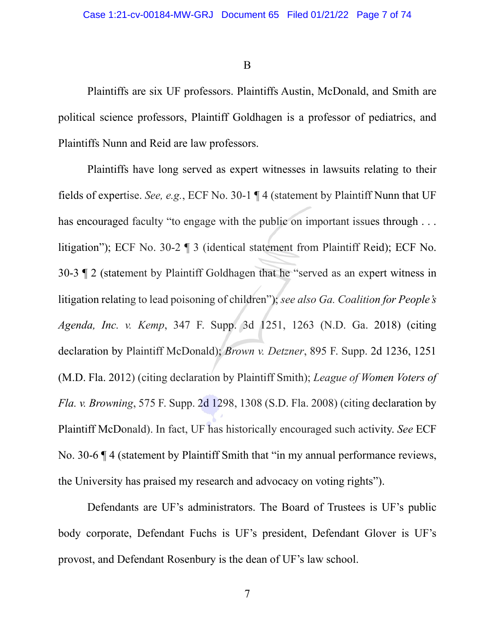B

Plaintiffs are six UF professors. Plaintiffs Austin, McDonald, and Smith are political science professors, Plaintiff Goldhagen is a professor of pediatrics, and Plaintiffs Nunn and Reid are law professors.

Plaintiffs have long served as expert witnesses in lawsuits relating to their fields of expertise. *See, e.g.*, ECF No. 30-1 ¶ 4 (statement by Plaintiff Nunn that UF has encouraged faculty "to engage with the public on important issues through . . . litigation"); ECF No. 30-2 ¶ 3 (identical statement from Plaintiff Reid); ECF No. 30-3 ¶ 2 (statement by Plaintiff Goldhagen that he "served as an expert witness in litigation relating to lead poisoning of children"); *see also Ga. Coalition for People's Agenda, Inc. v. Kemp*, 347 F. Supp. 3d 1251, 1263 (N.D. Ga. 2018) (citing declaration by Plaintiff McDonald); *Brown v. Detzner*, 895 F. Supp. 2d 1236, 1251 (M.D. Fla. 2012) (citing declaration by Plaintiff Smith); *League of Women Voters of Fla. v. Browning*, 575 F. Supp. 2d 1298, 1308 (S.D. Fla. 2008) (citing declaration by Plaintiff McDonald). In fact, UF has historically encouraged such activity. *See* ECF No. 30-6 ¶ 4 (statement by Plaintiff Smith that "in my annual performance reviews, the University has praised my research and advocacy on voting rights").

Defendants are UF's administrators. The Board of Trustees is UF's public body corporate, Defendant Fuchs is UF's president, Defendant Glover is UF's provost, and Defendant Rosenbury is the dean of UF's law school.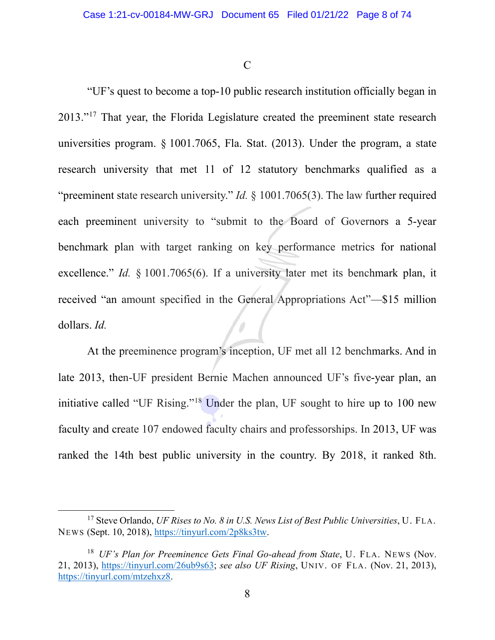C

"UF's quest to become a top-10 public research institution officially began in 2013."<sup>[17](#page-7-0)</sup> That year, the Florida Legislature created the preeminent state research universities program. § 1001.7065, Fla. Stat. (2013). Under the program, a state research university that met 11 of 12 statutory benchmarks qualified as a "preeminent state research university." *Id.* § 1001.7065(3). The law further required each preeminent university to "submit to the Board of Governors a 5-year benchmark plan with target ranking on key performance metrics for national excellence." *Id.* § 1001.7065(6). If a university later met its benchmark plan, it received "an amount specified in the General Appropriations Act"—\$15 million dollars. *Id.*

At the preeminence program's inception, UF met all 12 benchmarks. And in late 2013, then-UF president Bernie Machen announced UF's five-year plan, an initiative called "UF Rising."<sup>[18](#page-7-1)</sup> Under the plan, UF sought to hire up to 100 new faculty and create 107 endowed faculty chairs and professorships. In 2013, UF was ranked the 14th best public university in the country. By 2018, it ranked 8th.

<span id="page-7-0"></span><sup>17</sup> Steve Orlando, *UF Rises to No. 8 in U.S. News List of Best Public Universities*, U. FLA. NEWS (Sept. 10, 2018), [https://tinyurl.com/2p8ks3tw.](https://tinyurl.com/2p8ks3tw)

<span id="page-7-1"></span><sup>18</sup> *UF's Plan for Preeminence Gets Final Go-ahead from State*, U. FLA. NEWS (Nov. 21, 2013), [https://tinyurl.com/26ub9s63;](https://tinyurl.com/26ub9s63) *see also UF Rising*, UNIV. OF FLA. (Nov. 21, 2013), [https://tinyurl.com/mtzehxz8.](https://tinyurl.com/mtzehxz8)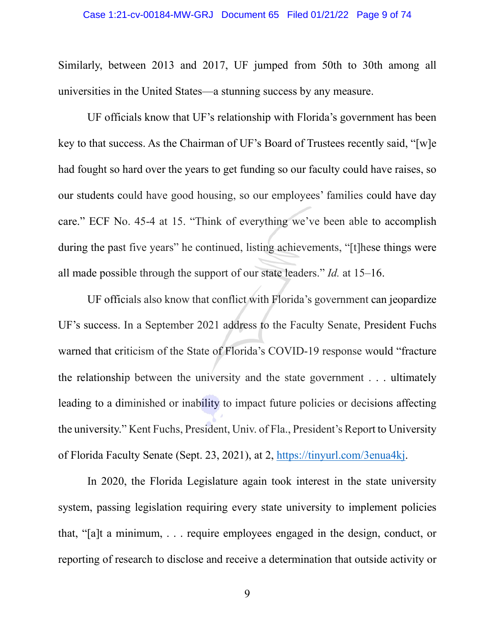Similarly, between 2013 and 2017, UF jumped from 50th to 30th among all universities in the United States—a stunning success by any measure.

UF officials know that UF's relationship with Florida's government has been key to that success. As the Chairman of UF's Board of Trustees recently said, "[w]e had fought so hard over the years to get funding so our faculty could have raises, so our students could have good housing, so our employees' families could have day care." ECF No. 45-4 at 15. "Think of everything we've been able to accomplish during the past five years" he continued, listing achievements, "[t]hese things were all made possible through the support of our state leaders." *Id.* at 15–16.

UF officials also know that conflict with Florida's government can jeopardize UF's success. In a September 2021 address to the Faculty Senate, President Fuchs warned that criticism of the State of Florida's COVID-19 response would "fracture the relationship between the university and the state government . . . ultimately leading to a diminished or inability to impact future policies or decisions affecting the university." Kent Fuchs, President, Univ. of Fla., President's Report to University of Florida Faculty Senate (Sept. 23, 2021), at 2, [https://tinyurl.com/3enua4kj.](https://tinyurl.com/3enua4kj)

In 2020, the Florida Legislature again took interest in the state university system, passing legislation requiring every state university to implement policies that, "[a]t a minimum, . . . require employees engaged in the design, conduct, or reporting of research to disclose and receive a determination that outside activity or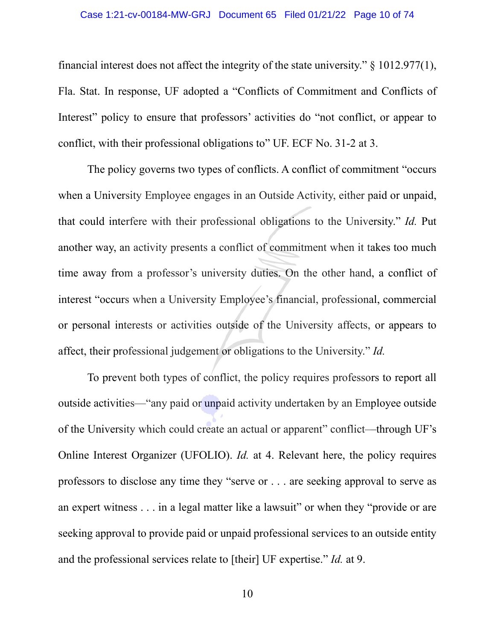### Case 1:21-cv-00184-MW-GRJ Document 65 Filed 01/21/22 Page 10 of 74

financial interest does not affect the integrity of the state university." § 1012.977(1), Fla. Stat. In response, UF adopted a "Conflicts of Commitment and Conflicts of Interest" policy to ensure that professors' activities do "not conflict, or appear to conflict, with their professional obligations to" UF. ECF No. 31-2 at 3.

The policy governs two types of conflicts. A conflict of commitment "occurs when a University Employee engages in an Outside Activity, either paid or unpaid, that could interfere with their professional obligations to the University." *Id.* Put another way, an activity presents a conflict of commitment when it takes too much time away from a professor's university duties. On the other hand, a conflict of interest "occurs when a University Employee's financial, professional, commercial or personal interests or activities outside of the University affects, or appears to affect, their professional judgement or obligations to the University." *Id.*

To prevent both types of conflict, the policy requires professors to report all outside activities—"any paid or unpaid activity undertaken by an Employee outside of the University which could create an actual or apparent" conflict—through UF's Online Interest Organizer (UFOLIO). *Id.* at 4. Relevant here, the policy requires professors to disclose any time they "serve or . . . are seeking approval to serve as an expert witness . . . in a legal matter like a lawsuit" or when they "provide or are seeking approval to provide paid or unpaid professional services to an outside entity and the professional services relate to [their] UF expertise." *Id.* at 9.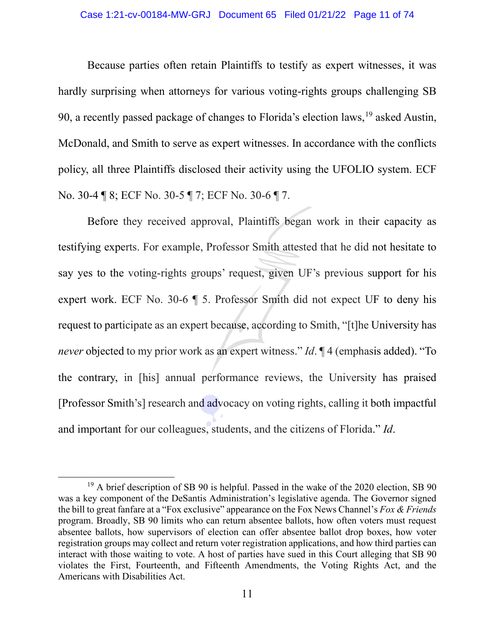## Case 1:21-cv-00184-MW-GRJ Document 65 Filed 01/21/22 Page 11 of 74

Because parties often retain Plaintiffs to testify as expert witnesses, it was hardly surprising when attorneys for various voting-rights groups challenging SB 90, a recently passed package of changes to Florida's election laws,  $19$  asked Austin, McDonald, and Smith to serve as expert witnesses. In accordance with the conflicts policy, all three Plaintiffs disclosed their activity using the UFOLIO system. ECF No. 30-4 ¶ 8; ECF No. 30-5 ¶ 7; ECF No. 30-6 ¶ 7.

Before they received approval, Plaintiffs began work in their capacity as testifying experts. For example, Professor Smith attested that he did not hesitate to say yes to the voting-rights groups' request, given UF's previous support for his expert work. ECF No. 30-6 ¶ 5. Professor Smith did not expect UF to deny his request to participate as an expert because, according to Smith, "[t]he University has *never* objected to my prior work as an expert witness." *Id*. ¶ 4 (emphasis added). "To the contrary, in [his] annual performance reviews, the University has praised [Professor Smith's] research and advocacy on voting rights, calling it both impactful and important for our colleagues, students, and the citizens of Florida." *Id*.

<span id="page-10-0"></span><sup>&</sup>lt;sup>19</sup> A brief description of SB 90 is helpful. Passed in the wake of the 2020 election, SB 90 was a key component of the DeSantis Administration's legislative agenda. The Governor signed the bill to great fanfare at a "Fox exclusive" appearance on the Fox News Channel's *Fox & Friends* program. Broadly, SB 90 limits who can return absentee ballots, how often voters must request absentee ballots, how supervisors of election can offer absentee ballot drop boxes, how voter registration groups may collect and return voter registration applications, and how third parties can interact with those waiting to vote. A host of parties have sued in this Court alleging that SB 90 violates the First, Fourteenth, and Fifteenth Amendments, the Voting Rights Act, and the Americans with Disabilities Act.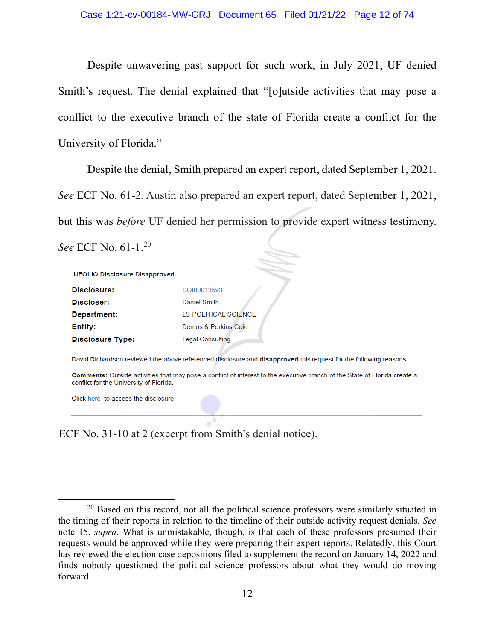Despite unwavering past support for such work, in July 2021, UF denied Smith's request. The denial explained that "[o]utside activities that may pose a conflict to the executive branch of the state of Florida create a conflict for the University of Florida."

Despite the denial, Smith prepared an expert report, dated September 1, 2021. *See* ECF No. 61-2. Austin also prepared an expert report, dated September 1, 2021, but this was *before* UF denied her permission to provide expert witness testimony.

*See* ECF No. 61-1.[20](#page-11-0)

| <b>UFOLIO Disclosure Disapproved</b> |                              |
|--------------------------------------|------------------------------|
| Disclosure:                          | DOI00013593                  |
| Discloser:                           | Daniel Smith                 |
| Department:                          | <b>I S-POLITICAL SCIENCE</b> |
| <b>Entity:</b>                       | Demos & Perkins Coie         |
| <b>Disclosure Type:</b>              | <b>Legal Consulting</b>      |

David Richardson reviewed the above referenced disclosure and disapproved this request for the following reasons:

Comments: Outside activities that may pose a conflict of interest to the executive branch of the State of Florida create a conflict for the University of Florida.

Click here to access the disclosure.

ECF No. 31-10 at 2 (excerpt from Smith's denial notice).

<span id="page-11-0"></span> $20$  Based on this record, not all the political science professors were similarly situated in the timing of their reports in relation to the timeline of their outside activity request denials. *See*  note 15, *supra*. What is unmistakable, though, is that each of these professors presumed their requests would be approved while they were preparing their expert reports. Relatedly, this Court has reviewed the election case depositions filed to supplement the record on January 14, 2022 and finds nobody questioned the political science professors about what they would do moving forward.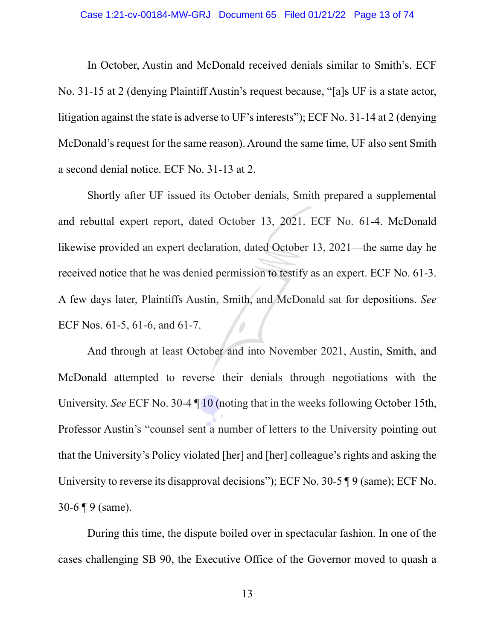#### Case 1:21-cv-00184-MW-GRJ Document 65 Filed 01/21/22 Page 13 of 74

In October, Austin and McDonald received denials similar to Smith's. ECF No. 31-15 at 2 (denying Plaintiff Austin's request because, "[a]s UF is a state actor, litigation against the state is adverse to UF's interests"); ECF No. 31-14 at 2 (denying McDonald's request for the same reason). Around the same time, UF also sent Smith a second denial notice. ECF No. 31-13 at 2.

Shortly after UF issued its October denials, Smith prepared a supplemental and rebuttal expert report, dated October 13, 2021. ECF No. 61-4. McDonald likewise provided an expert declaration, dated October 13, 2021—the same day he received notice that he was denied permission to testify as an expert. ECF No. 61-3. A few days later, Plaintiffs Austin, Smith, and McDonald sat for depositions. *See*  ECF Nos. 61-5, 61-6, and 61-7.

And through at least October and into November 2021, Austin, Smith, and McDonald attempted to reverse their denials through negotiations with the University. *See* ECF No. 30-4 ¶ 10 (noting that in the weeks following October 15th, Professor Austin's "counsel sent a number of letters to the University pointing out that the University's Policy violated [her] and [her] colleague's rights and asking the University to reverse its disapproval decisions"); ECF No. 30-5 ¶ 9 (same); ECF No. 30-6 ¶ 9 (same).

During this time, the dispute boiled over in spectacular fashion. In one of the cases challenging SB 90, the Executive Office of the Governor moved to quash a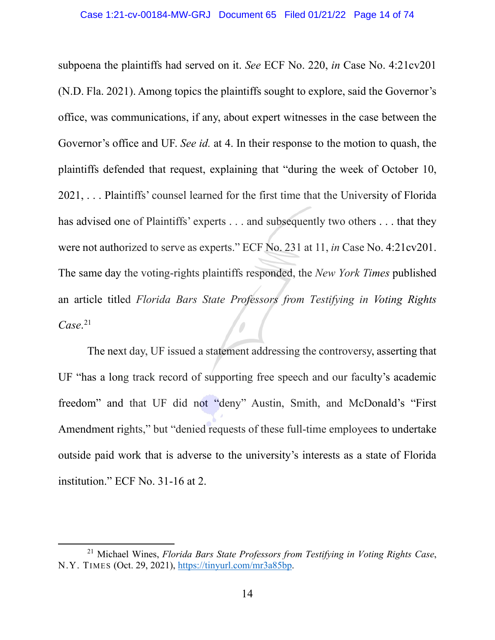subpoena the plaintiffs had served on it. *See* ECF No. 220, *in* Case No. 4:21cv201 (N.D. Fla. 2021). Among topics the plaintiffs sought to explore, said the Governor's office, was communications, if any, about expert witnesses in the case between the Governor's office and UF. *See id.* at 4. In their response to the motion to quash, the plaintiffs defended that request, explaining that "during the week of October 10, 2021, . . . Plaintiffs' counsel learned for the first time that the University of Florida has advised one of Plaintiffs' experts . . . and subsequently two others . . . that they were not authorized to serve as experts." ECF No. 231 at 11, *in* Case No. 4:21cv201. The same day the voting-rights plaintiffs responded, the *New York Times* published an article titled *Florida Bars State Professors from Testifying in Voting Rights Case*. [21](#page-13-0)

The next day, UF issued a statement addressing the controversy, asserting that UF "has a long track record of supporting free speech and our faculty's academic freedom" and that UF did not "deny" Austin, Smith, and McDonald's "First Amendment rights," but "denied requests of these full-time employees to undertake outside paid work that is adverse to the university's interests as a state of Florida institution." ECF No. 31-16 at 2.

<span id="page-13-0"></span><sup>21</sup> Michael Wines, *Florida Bars State Professors from Testifying in Voting Rights Case*, N.Y. TIMES (Oct. 29, 2021), [https://tinyurl.com/mr3a85bp.](https://tinyurl.com/mr3a85bp)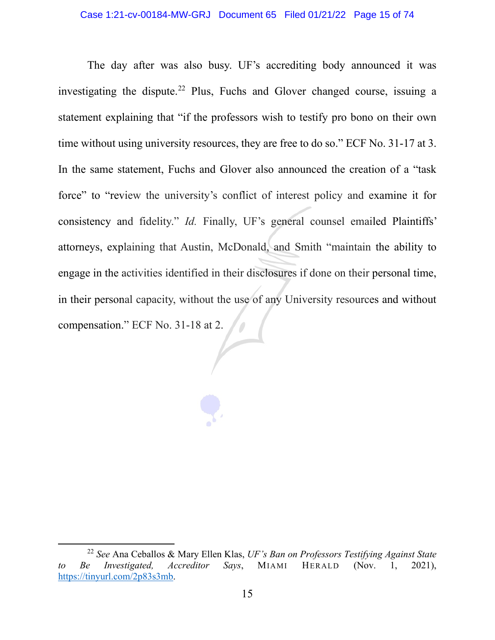The day after was also busy. UF's accrediting body announced it was investigating the dispute.<sup>[22](#page-14-0)</sup> Plus, Fuchs and Glover changed course, issuing a statement explaining that "if the professors wish to testify pro bono on their own time without using university resources, they are free to do so." ECF No. 31-17 at 3. In the same statement, Fuchs and Glover also announced the creation of a "task force" to "review the university's conflict of interest policy and examine it for consistency and fidelity." *Id.* Finally, UF's general counsel emailed Plaintiffs' attorneys, explaining that Austin, McDonald, and Smith "maintain the ability to engage in the activities identified in their disclosures if done on their personal time, in their personal capacity, without the use of any University resources and without compensation." ECF No. 31-18 at 2.

<span id="page-14-0"></span><sup>22</sup> *See* Ana Ceballos & Mary Ellen Klas, *UF's Ban on Professors Testifying Against State to Be Investigated, Accreditor Says*, MIAMI HERALD (Nov. 1, 2021), [https://tinyurl.com/2p83s3mb.](https://tinyurl.com/2p83s3mb)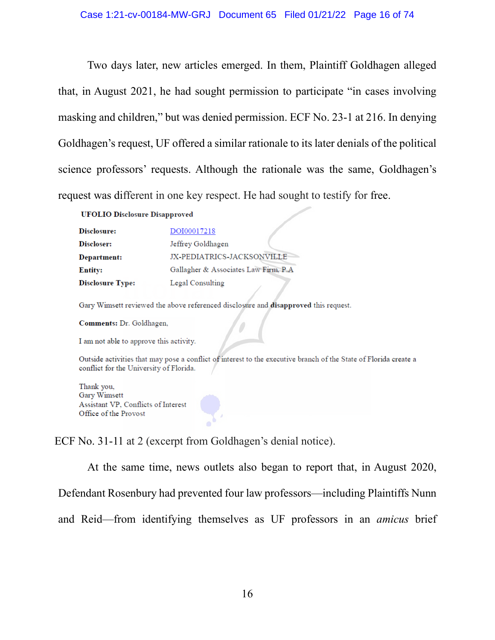Two days later, new articles emerged. In them, Plaintiff Goldhagen alleged that, in August 2021, he had sought permission to participate "in cases involving masking and children," but was denied permission. ECF No. 23-1 at 216. In denying Goldhagen's request, UF offered a similar rationale to its later denials of the political science professors' requests. Although the rationale was the same, Goldhagen's request was different in one key respect. He had sought to testify for free.

**UFOLIO Disclosure Disapproved** 

| Disclosure:             | DOI00017218                           |
|-------------------------|---------------------------------------|
| Discloser:              | Jeffrey Goldhagen                     |
| Department:             | JX-PEDIATRICS-JACKSONVILLE            |
| <b>Entity:</b>          | Gallagher & Associates Law Firm, P.A. |
| <b>Disclosure Type:</b> | Legal Consulting                      |

Gary Wimsett reviewed the above referenced disclosure and disapproved this request.

Comments: Dr. Goldhagen,

I am not able to approve this activity.

Outside activities that may pose a conflict of interest to the executive branch of the State of Florida create a conflict for the University of Florida.

Thank you, Gary Wimsett Assistant VP, Conflicts of Interest Office of the Provost

ECF No. 31-11 at 2 (excerpt from Goldhagen's denial notice).

At the same time, news outlets also began to report that, in August 2020,

Defendant Rosenbury had prevented four law professors—including Plaintiffs Nunn

and Reid—from identifying themselves as UF professors in an *amicus* brief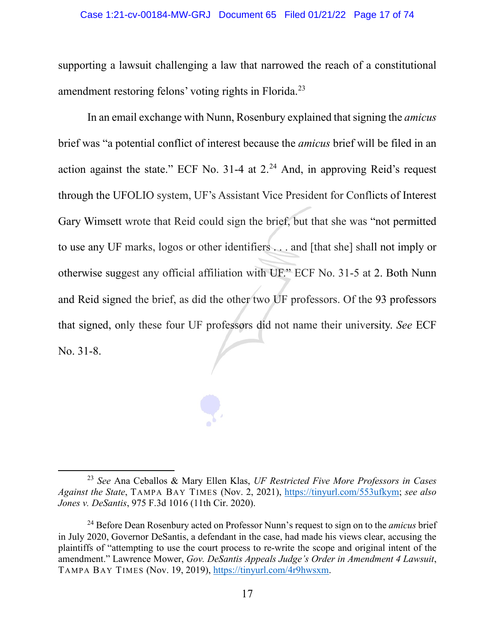### Case 1:21-cv-00184-MW-GRJ Document 65 Filed 01/21/22 Page 17 of 74

supporting a lawsuit challenging a law that narrowed the reach of a constitutional amendment restoring felons' voting rights in Florida.[23](#page-16-0)

In an email exchange with Nunn, Rosenbury explained that signing the *amicus* brief was "a potential conflict of interest because the *amicus* brief will be filed in an action against the state." ECF No.  $31-4$  at  $2.^{24}$  $2.^{24}$  $2.^{24}$  And, in approving Reid's request through the UFOLIO system, UF's Assistant Vice President for Conflicts of Interest Gary Wimsett wrote that Reid could sign the brief, but that she was "not permitted to use any UF marks, logos or other identifiers . . . and [that she] shall not imply or otherwise suggest any official affiliation with UF." ECF No. 31-5 at 2. Both Nunn and Reid signed the brief, as did the other two UF professors. Of the 93 professors that signed, only these four UF professors did not name their university. *See* ECF No. 31-8.

<span id="page-16-0"></span><sup>23</sup> *See* Ana Ceballos & Mary Ellen Klas, *UF Restricted Five More Professors in Cases Against the State*, TAMPA BAY TIMES (Nov. 2, 2021), [https://tinyurl.com/553ufkym;](https://tinyurl.com/553ufkym) *see also Jones v. DeSantis*, 975 F.3d 1016 (11th Cir. 2020).

<span id="page-16-1"></span><sup>24</sup> Before Dean Rosenbury acted on Professor Nunn's request to sign on to the *amicus* brief in July 2020, Governor DeSantis, a defendant in the case, had made his views clear, accusing the plaintiffs of "attempting to use the court process to re-write the scope and original intent of the amendment." Lawrence Mower, *Gov. DeSantis Appeals Judge's Order in Amendment 4 Lawsuit*, TAMPA BAY TIMES (Nov. 19, 2019), [https://tinyurl.com/4r9hwsxm.](https://tinyurl.com/4r9hwsxm)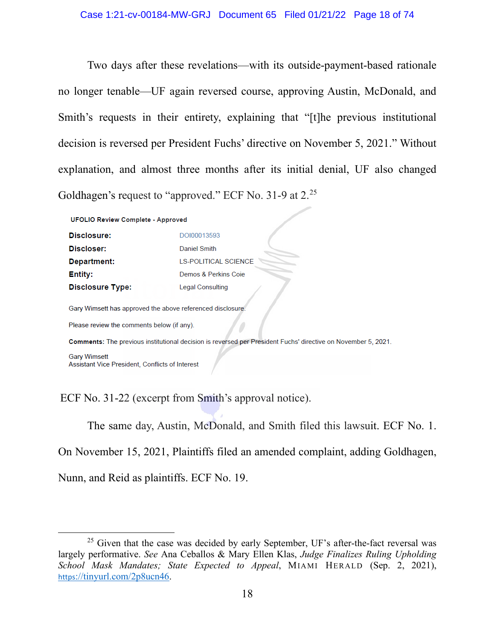Two days after these revelations—with its outside-payment-based rationale no longer tenable—UF again reversed course, approving Austin, McDonald, and Smith's requests in their entirety, explaining that "[t]he previous institutional decision is reversed per President Fuchs' directive on November 5, 2021." Without explanation, and almost three months after its initial denial, UF also changed Goldhagen's request to "approved." ECF No. 31-9 at 2.[25](#page-17-0)

**UFOLIO Review Complete - Approved** 

| Disclosure:             | DOI00013593                 |
|-------------------------|-----------------------------|
| Discloser:              | Daniel Smith                |
| Department:             | <b>LS-POLITICAL SCIENCE</b> |
| <b>Entity:</b>          | Demos & Perkins Coie        |
| <b>Disclosure Type:</b> | Legal Consulting            |

Gary Wimsett has approved the above referenced disclosure.

Please review the comments below (if any).

Comments: The previous institutional decision is reversed per President Fuchs' directive on November 5, 2021.

**Gary Wimsett** Assistant Vice President, Conflicts of Interest

ECF No. 31-22 (excerpt from Smith's approval notice).

The same day, Austin, McDonald, and Smith filed this lawsuit. ECF No. 1.

On November 15, 2021, Plaintiffs filed an amended complaint, adding Goldhagen,

Nunn, and Reid as plaintiffs. ECF No. 19.

<span id="page-17-0"></span> $25$  Given that the case was decided by early September, UF's after-the-fact reversal was largely performative. *See* Ana Ceballos & Mary Ellen Klas, *Judge Finalizes Ruling Upholding School Mask Mandates; State Expected to Appeal*, MIAMI HERALD (Sep. 2, 2021), [https](https://tinyurl.com/2p8ucn46)[://tinyurl.com/2p8ucn46.](https://tinyurl.com/2p8ucn46)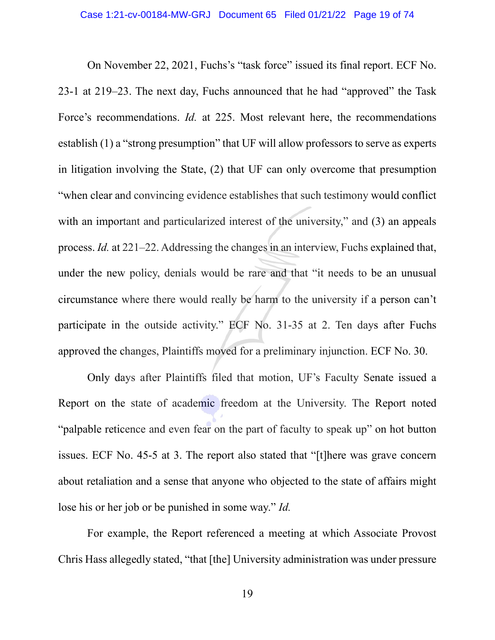On November 22, 2021, Fuchs's "task force" issued its final report. ECF No. 23-1 at 219–23. The next day, Fuchs announced that he had "approved" the Task Force's recommendations. *Id.* at 225. Most relevant here, the recommendations establish (1) a "strong presumption" that UF will allow professors to serve as experts in litigation involving the State, (2) that UF can only overcome that presumption "when clear and convincing evidence establishes that such testimony would conflict with an important and particularized interest of the university," and (3) an appeals process. *Id.* at 221–22. Addressing the changes in an interview, Fuchs explained that, under the new policy, denials would be rare and that "it needs to be an unusual circumstance where there would really be harm to the university if a person can't participate in the outside activity." ECF No. 31-35 at 2. Ten days after Fuchs approved the changes, Plaintiffs moved for a preliminary injunction. ECF No. 30.

Only days after Plaintiffs filed that motion, UF's Faculty Senate issued a Report on the state of academic freedom at the University. The Report noted "palpable reticence and even fear on the part of faculty to speak up" on hot button issues. ECF No. 45-5 at 3. The report also stated that "[t]here was grave concern about retaliation and a sense that anyone who objected to the state of affairs might lose his or her job or be punished in some way." *Id.*

For example, the Report referenced a meeting at which Associate Provost Chris Hass allegedly stated, "that [the] University administration was under pressure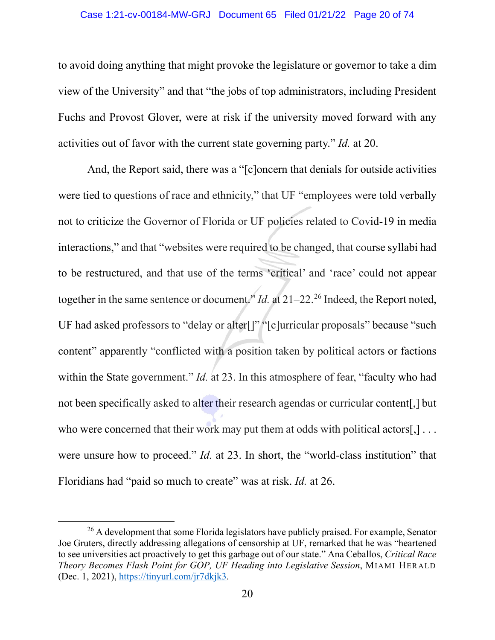### Case 1:21-cv-00184-MW-GRJ Document 65 Filed 01/21/22 Page 20 of 74

to avoid doing anything that might provoke the legislature or governor to take a dim view of the University" and that "the jobs of top administrators, including President Fuchs and Provost Glover, were at risk if the university moved forward with any activities out of favor with the current state governing party." *Id.* at 20.

And, the Report said, there was a "[c]oncern that denials for outside activities were tied to questions of race and ethnicity," that UF "employees were told verbally not to criticize the Governor of Florida or UF policies related to Covid-19 in media interactions," and that "websites were required to be changed, that course syllabi had to be restructured, and that use of the terms 'critical' and 'race' could not appear together in the same sentence or document." *Id.* at  $21-22$ .<sup>[26](#page-19-0)</sup> Indeed, the Report noted, UF had asked professors to "delay or alter[]" "[c]urricular proposals" because "such content" apparently "conflicted with a position taken by political actors or factions within the State government." *Id.* at 23. In this atmosphere of fear, "faculty who had not been specifically asked to alter their research agendas or curricular content[,] but who were concerned that their work may put them at odds with political actors[,] ... were unsure how to proceed." *Id.* at 23. In short, the "world-class institution" that Floridians had "paid so much to create" was at risk. *Id.* at 26.

<span id="page-19-0"></span><sup>&</sup>lt;sup>26</sup> A development that some Florida legislators have publicly praised. For example, Senator Joe Gruters, directly addressing allegations of censorship at UF, remarked that he was "heartened to see universities act proactively to get this garbage out of our state." Ana Ceballos, *Critical Race Theory Becomes Flash Point for GOP, UF Heading into Legislative Session*, MIAMI HERALD (Dec. 1, 2021), [https://tinyurl.com/jr7dkjk3.](https://tinyurl.com/jr7dkjk3)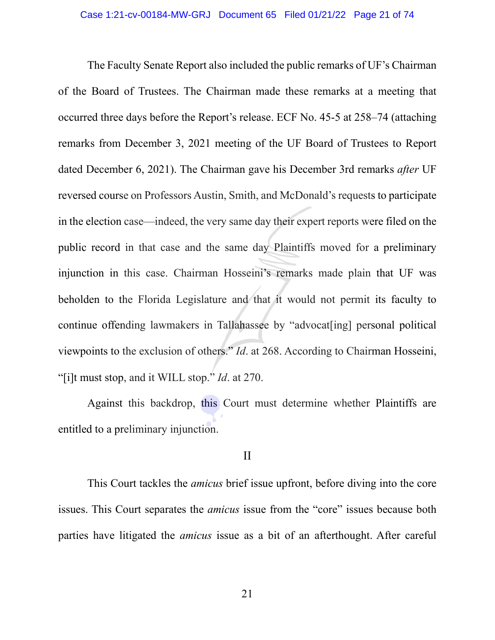The Faculty Senate Report also included the public remarks of UF's Chairman of the Board of Trustees. The Chairman made these remarks at a meeting that occurred three days before the Report's release. ECF No. 45-5 at 258–74 (attaching remarks from December 3, 2021 meeting of the UF Board of Trustees to Report dated December 6, 2021). The Chairman gave his December 3rd remarks *after* UF reversed course on Professors Austin, Smith, and McDonald's requests to participate in the election case—indeed, the very same day their expert reports were filed on the public record in that case and the same day Plaintiffs moved for a preliminary injunction in this case. Chairman Hosseini's remarks made plain that UF was beholden to the Florida Legislature and that it would not permit its faculty to continue offending lawmakers in Tallahassee by "advocat[ing] personal political viewpoints to the exclusion of others." *Id*. at 268. According to Chairman Hosseini, "[i]t must stop, and it WILL stop." *Id*. at 270.

Against this backdrop, this Court must determine whether Plaintiffs are entitled to a preliminary injunction.

# II

This Court tackles the *amicus* brief issue upfront, before diving into the core issues. This Court separates the *amicus* issue from the "core" issues because both parties have litigated the *amicus* issue as a bit of an afterthought. After careful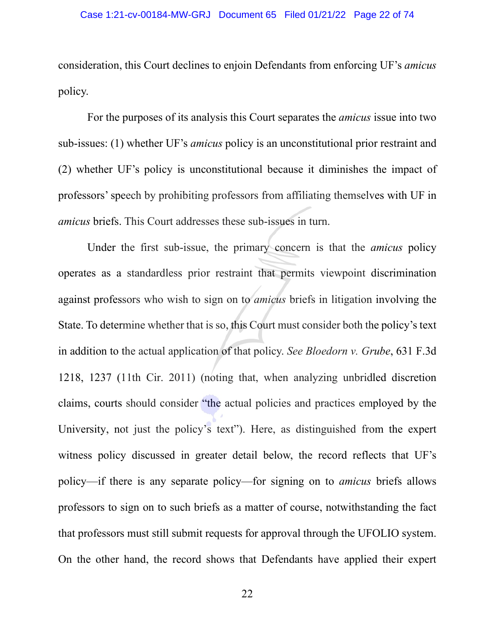consideration, this Court declines to enjoin Defendants from enforcing UF's *amicus* policy.

For the purposes of its analysis this Court separates the *amicus* issue into two sub-issues: (1) whether UF's *amicus* policy is an unconstitutional prior restraint and (2) whether UF's policy is unconstitutional because it diminishes the impact of professors' speech by prohibiting professors from affiliating themselves with UF in *amicus* briefs. This Court addresses these sub-issues in turn.

Under the first sub-issue, the primary concern is that the *amicus* policy operates as a standardless prior restraint that permits viewpoint discrimination against professors who wish to sign on to *amicus* briefs in litigation involving the State. To determine whether that is so, this Court must consider both the policy's text in addition to the actual application of that policy. *See Bloedorn v. Grube*, 631 F.3d 1218, 1237 (11th Cir. 2011) (noting that, when analyzing unbridled discretion claims, courts should consider "the actual policies and practices employed by the University, not just the policy's text"). Here, as distinguished from the expert witness policy discussed in greater detail below, the record reflects that UF's policy—if there is any separate policy—for signing on to *amicus* briefs allows professors to sign on to such briefs as a matter of course, notwithstanding the fact that professors must still submit requests for approval through the UFOLIO system. On the other hand, the record shows that Defendants have applied their expert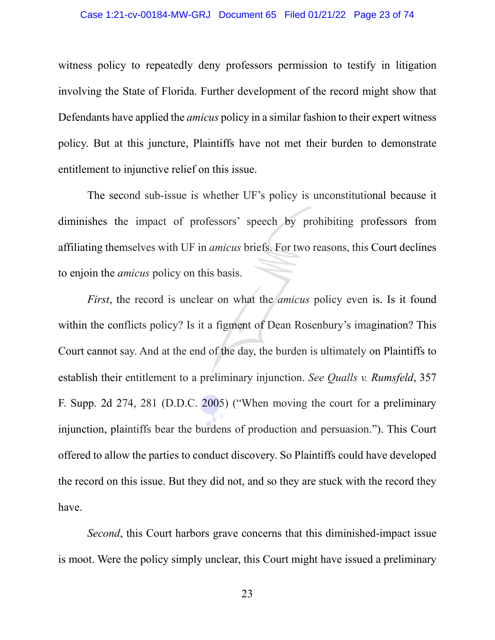## Case 1:21-cv-00184-MW-GRJ Document 65 Filed 01/21/22 Page 23 of 74

witness policy to repeatedly deny professors permission to testify in litigation involving the State of Florida. Further development of the record might show that Defendants have applied the *amicus* policy in a similar fashion to their expert witness policy. But at this juncture, Plaintiffs have not met their burden to demonstrate entitlement to injunctive relief on this issue.

The second sub-issue is whether UF's policy is unconstitutional because it diminishes the impact of professors' speech by prohibiting professors from affiliating themselves with UF in *amicus* briefs. For two reasons, this Court declines to enjoin the *amicus* policy on this basis.

*First*, the record is unclear on what the *amicus* policy even is. Is it found within the conflicts policy? Is it a figment of Dean Rosenbury's imagination? This Court cannot say. And at the end of the day, the burden is ultimately on Plaintiffs to establish their entitlement to a preliminary injunction. *See Qualls v. Rumsfeld*, 357 F. Supp. 2d 274, 281 (D.D.C. 2005) ("When moving the court for a preliminary injunction, plaintiffs bear the burdens of production and persuasion."). This Court offered to allow the parties to conduct discovery. So Plaintiffs could have developed the record on this issue. But they did not, and so they are stuck with the record they have.

*Second*, this Court harbors grave concerns that this diminished-impact issue is moot. Were the policy simply unclear, this Court might have issued a preliminary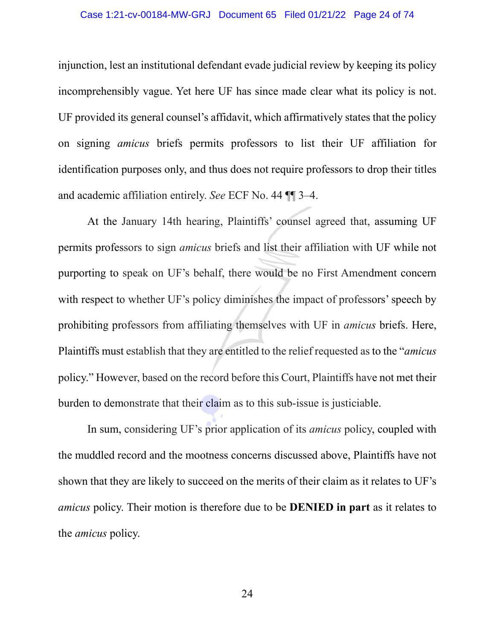## Case 1:21-cv-00184-MW-GRJ Document 65 Filed 01/21/22 Page 24 of 74

injunction, lest an institutional defendant evade judicial review by keeping its policy incomprehensibly vague. Yet here UF has since made clear what its policy is not. UF provided its general counsel's affidavit, which affirmatively states that the policy on signing *amicus* briefs permits professors to list their UF affiliation for identification purposes only, and thus does not require professors to drop their titles and academic affiliation entirely. *See* ECF No. 44 ¶¶ 3–4.

At the January 14th hearing, Plaintiffs' counsel agreed that, assuming UF permits professors to sign *amicus* briefs and list their affiliation with UF while not purporting to speak on UF's behalf, there would be no First Amendment concern with respect to whether UF's policy diminishes the impact of professors' speech by prohibiting professors from affiliating themselves with UF in *amicus* briefs. Here, Plaintiffs must establish that they are entitled to the relief requested as to the "*amicus*  policy." However, based on the record before this Court, Plaintiffs have not met their burden to demonstrate that their claim as to this sub-issue is justiciable.

In sum, considering UF's prior application of its *amicus* policy, coupled with the muddled record and the mootness concerns discussed above, Plaintiffs have not shown that they are likely to succeed on the merits of their claim as it relates to UF's *amicus* policy. Their motion is therefore due to be **DENIED in part** as it relates to the *amicus* policy.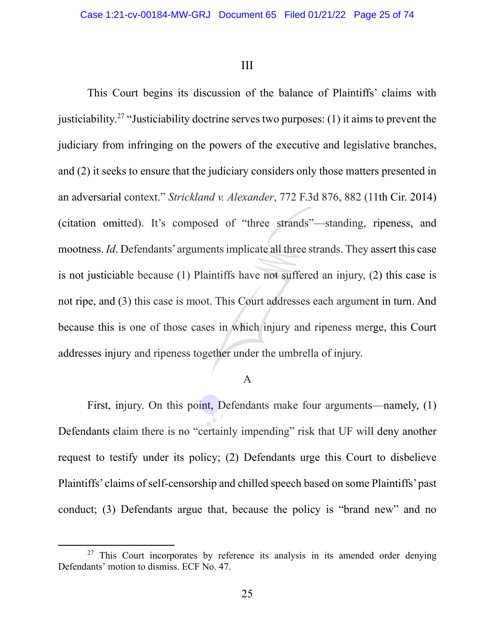III

This Court begins its discussion of the balance of Plaintiffs' claims with justiciability.<sup>[27](#page-24-0)</sup> "Justiciability doctrine serves two purposes: (1) it aims to prevent the judiciary from infringing on the powers of the executive and legislative branches, and (2) it seeks to ensure that the judiciary considers only those matters presented in an adversarial context." *Strickland v. Alexander*, 772 F.3d 876, 882 (11th Cir. 2014) (citation omitted). It's composed of "three strands"—standing, ripeness, and mootness. *Id*. Defendants' arguments implicate all three strands. They assert this case is not justiciable because (1) Plaintiffs have not suffered an injury, (2) this case is not ripe, and (3) this case is moot. This Court addresses each argument in turn. And because this is one of those cases in which injury and ripeness merge, this Court addresses injury and ripeness together under the umbrella of injury.

# A

First, injury. On this point, Defendants make four arguments—namely, (1) Defendants claim there is no "certainly impending" risk that UF will deny another request to testify under its policy; (2) Defendants urge this Court to disbelieve Plaintiffs' claims of self-censorship and chilled speech based on some Plaintiffs' past conduct; (3) Defendants argue that, because the policy is "brand new" and no

<span id="page-24-0"></span> $27$  This Court incorporates by reference its analysis in its amended order denying Defendants' motion to dismiss. ECF No. 47.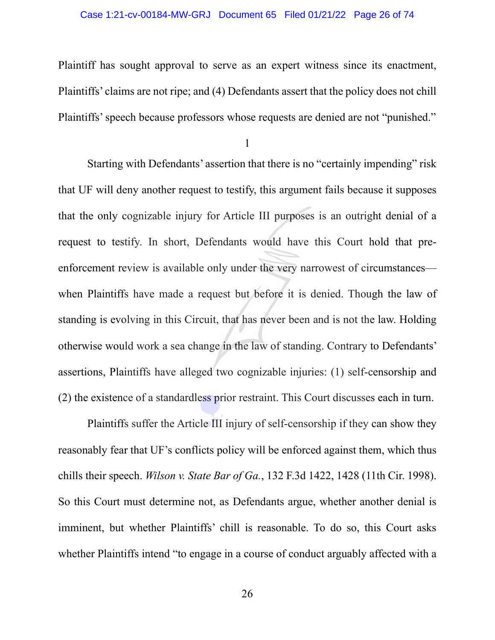### Case 1:21-cv-00184-MW-GRJ Document 65 Filed 01/21/22 Page 26 of 74

Plaintiff has sought approval to serve as an expert witness since its enactment, Plaintiffs' claims are not ripe; and (4) Defendants assert that the policy does not chill Plaintiffs' speech because professors whose requests are denied are not "punished."

1

Starting with Defendants' assertion that there is no "certainly impending" risk that UF will deny another request to testify, this argument fails because it supposes that the only cognizable injury for Article III purposes is an outright denial of a request to testify. In short, Defendants would have this Court hold that preenforcement review is available only under the very narrowest of circumstances when Plaintiffs have made a request but before it is denied. Though the law of standing is evolving in this Circuit, that has never been and is not the law. Holding otherwise would work a sea change in the law of standing. Contrary to Defendants' assertions, Plaintiffs have alleged two cognizable injuries: (1) self-censorship and (2) the existence of a standardless prior restraint. This Court discusses each in turn.

Plaintiffs suffer the Article III injury of self-censorship if they can show they reasonably fear that UF's conflicts policy will be enforced against them, which thus chills their speech. *Wilson v. State Bar of Ga.*, 132 F.3d 1422, 1428 (11th Cir. 1998). So this Court must determine not, as Defendants argue, whether another denial is imminent, but whether Plaintiffs' chill is reasonable. To do so, this Court asks whether Plaintiffs intend "to engage in a course of conduct arguably affected with a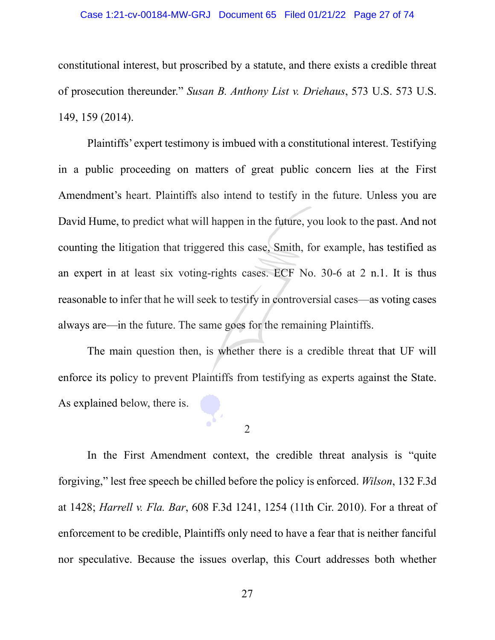### Case 1:21-cv-00184-MW-GRJ Document 65 Filed 01/21/22 Page 27 of 74

constitutional interest, but proscribed by a statute, and there exists a credible threat of prosecution thereunder." *Susan B. Anthony List v. Driehaus*, 573 U.S. 573 U.S. 149, 159 (2014).

Plaintiffs' expert testimony is imbued with a constitutional interest. Testifying in a public proceeding on matters of great public concern lies at the First Amendment's heart. Plaintiffs also intend to testify in the future. Unless you are David Hume, to predict what will happen in the future, you look to the past. And not counting the litigation that triggered this case, Smith, for example, has testified as an expert in at least six voting-rights cases. ECF No. 30-6 at 2 n.1. It is thus reasonable to infer that he will seek to testify in controversial cases—as voting cases always are—in the future. The same goes for the remaining Plaintiffs.

The main question then, is whether there is a credible threat that UF will enforce its policy to prevent Plaintiffs from testifying as experts against the State. As explained below, there is.

2

In the First Amendment context, the credible threat analysis is "quite forgiving," lest free speech be chilled before the policy is enforced. *Wilson*, 132 F.3d at 1428; *Harrell v. Fla. Bar*, 608 F.3d 1241, 1254 (11th Cir. 2010). For a threat of enforcement to be credible, Plaintiffs only need to have a fear that is neither fanciful nor speculative. Because the issues overlap, this Court addresses both whether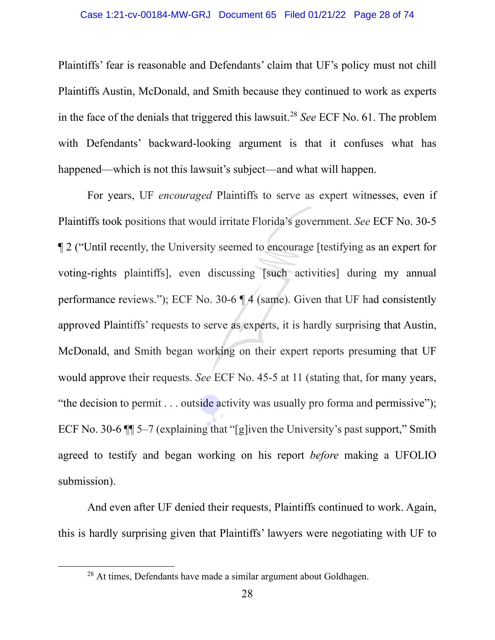## Case 1:21-cv-00184-MW-GRJ Document 65 Filed 01/21/22 Page 28 of 74

Plaintiffs' fear is reasonable and Defendants' claim that UF's policy must not chill Plaintiffs Austin, McDonald, and Smith because they continued to work as experts in the face of the denials that triggered this lawsuit.[28](#page-27-0) *See* ECF No. 61. The problem with Defendants' backward-looking argument is that it confuses what has happened—which is not this lawsuit's subject—and what will happen.

For years, UF *encouraged* Plaintiffs to serve as expert witnesses, even if Plaintiffs took positions that would irritate Florida's government. *See* ECF No. 30-5 ¶ 2 ("Until recently, the University seemed to encourage [testifying as an expert for voting-rights plaintiffs], even discussing [such activities] during my annual performance reviews."); ECF No. 30-6 ¶ 4 (same). Given that UF had consistently approved Plaintiffs' requests to serve as experts, it is hardly surprising that Austin, McDonald, and Smith began working on their expert reports presuming that UF would approve their requests. *See* ECF No. 45-5 at 11 (stating that, for many years, "the decision to permit . . . outside activity was usually pro forma and permissive"); ECF No. 30-6 ¶¶ 5–7 (explaining that "[g]iven the University's past support," Smith agreed to testify and began working on his report *before* making a UFOLIO submission).

And even after UF denied their requests, Plaintiffs continued to work. Again, this is hardly surprising given that Plaintiffs' lawyers were negotiating with UF to

<span id="page-27-0"></span> $28$  At times, Defendants have made a similar argument about Goldhagen.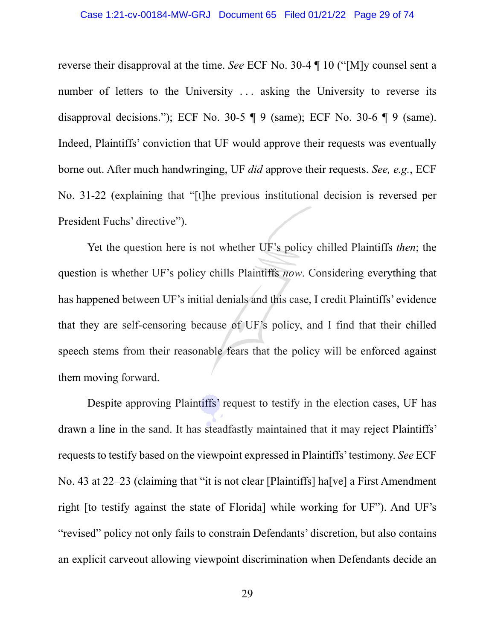### Case 1:21-cv-00184-MW-GRJ Document 65 Filed 01/21/22 Page 29 of 74

reverse their disapproval at the time. *See* ECF No. 30-4 ¶ 10 ("[M]y counsel sent a number of letters to the University ... asking the University to reverse its disapproval decisions."); ECF No. 30-5  $\P$  9 (same); ECF No. 30-6  $\P$  9 (same). Indeed, Plaintiffs' conviction that UF would approve their requests was eventually borne out. After much handwringing, UF *did* approve their requests. *See, e.g.*, ECF No. 31-22 (explaining that "[t]he previous institutional decision is reversed per President Fuchs' directive").

Yet the question here is not whether UF's policy chilled Plaintiffs *then*; the question is whether UF's policy chills Plaintiffs *now*. Considering everything that has happened between UF's initial denials and this case, I credit Plaintiffs' evidence that they are self-censoring because of UF's policy, and I find that their chilled speech stems from their reasonable fears that the policy will be enforced against them moving forward.

Despite approving Plaintiffs' request to testify in the election cases, UF has drawn a line in the sand. It has steadfastly maintained that it may reject Plaintiffs' requests to testify based on the viewpoint expressed in Plaintiffs' testimony. *See* ECF No. 43 at 22–23 (claiming that "it is not clear [Plaintiffs] ha<sup>[</sup>ve] a First Amendment right [to testify against the state of Florida] while working for UF"). And UF's "revised" policy not only fails to constrain Defendants' discretion, but also contains an explicit carveout allowing viewpoint discrimination when Defendants decide an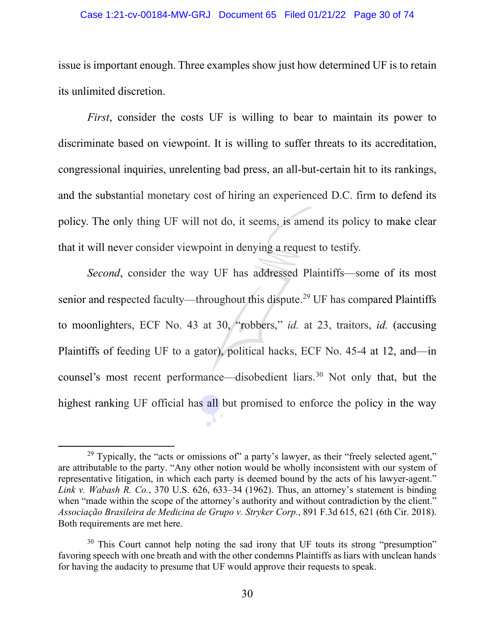### Case 1:21-cv-00184-MW-GRJ Document 65 Filed 01/21/22 Page 30 of 74

issue is important enough. Three examples show just how determined UF is to retain its unlimited discretion.

*First*, consider the costs UF is willing to bear to maintain its power to discriminate based on viewpoint. It is willing to suffer threats to its accreditation, congressional inquiries, unrelenting bad press, an all-but-certain hit to its rankings, and the substantial monetary cost of hiring an experienced D.C. firm to defend its policy. The only thing UF will not do, it seems, is amend its policy to make clear that it will never consider viewpoint in denying a request to testify.

*Second*, consider the way UF has addressed Plaintiffs—some of its most senior and respected faculty—throughout this dispute.<sup>[29](#page-29-0)</sup> UF has compared Plaintiffs to moonlighters, ECF No. 43 at 30, "robbers," *id.* at 23, traitors, *id.* (accusing Plaintiffs of feeding UF to a gator), political hacks, ECF No. 45-4 at 12, and—in counsel's most recent performance—disobedient liars.<sup>[30](#page-29-1)</sup> Not only that, but the highest ranking UF official has all but promised to enforce the policy in the way

<span id="page-29-0"></span> $29$  Typically, the "acts or omissions of" a party's lawyer, as their "freely selected agent," are attributable to the party. "Any other notion would be wholly inconsistent with our system of representative litigation, in which each party is deemed bound by the acts of his lawyer-agent." *Link v. Wabash R. Co.*, 370 U.S. 626, 633–34 (1962). Thus, an attorney's statement is binding when "made within the scope of the attorney's authority and without contradiction by the client." *Associação Brasileira de Medicina de Grupo v. Stryker Corp.*, 891 F.3d 615, 621 (6th Cir. 2018). Both requirements are met here.

<span id="page-29-1"></span><sup>&</sup>lt;sup>30</sup> This Court cannot help noting the sad irony that UF touts its strong "presumption" favoring speech with one breath and with the other condemns Plaintiffs as liars with unclean hands for having the audacity to presume that UF would approve their requests to speak.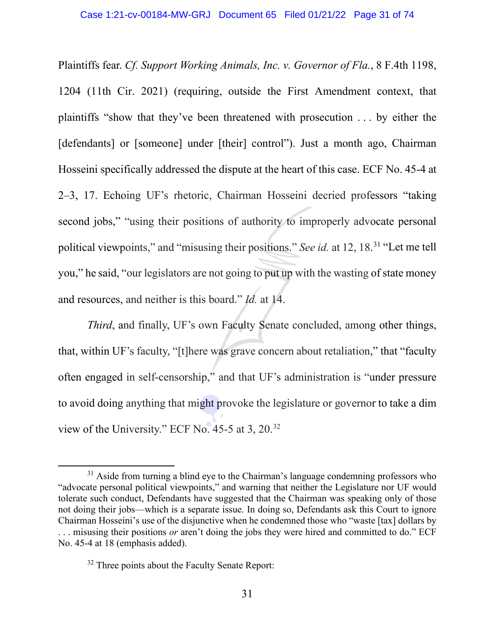Plaintiffs fear. *Cf. Support Working Animals, Inc. v. Governor of Fla.*, 8 F.4th 1198, 1204 (11th Cir. 2021) (requiring, outside the First Amendment context, that plaintiffs "show that they've been threatened with prosecution . . . by either the [defendants] or [someone] under [their] control"). Just a month ago, Chairman Hosseini specifically addressed the dispute at the heart of this case. ECF No. 45-4 at 2–3, 17. Echoing UF's rhetoric, Chairman Hosseini decried professors "taking second jobs," "using their positions of authority to improperly advocate personal political viewpoints," and "misusing their positions." *See id.* at 12, 18.<sup>[31](#page-30-0)</sup> "Let me tell you," he said, "our legislators are not going to put up with the wasting of state money and resources, and neither is this board." *Id.* at 14.

*Third*, and finally, UF's own Faculty Senate concluded, among other things, that, within UF's faculty, "[t]here was grave concern about retaliation," that "faculty often engaged in self-censorship," and that UF's administration is "under pressure to avoid doing anything that might provoke the legislature or governor to take a dim view of the University." ECF No. 45-5 at 3, 20.[32](#page-30-1)

<span id="page-30-0"></span> $31$  Aside from turning a blind eye to the Chairman's language condemning professors who "advocate personal political viewpoints," and warning that neither the Legislature nor UF would tolerate such conduct, Defendants have suggested that the Chairman was speaking only of those not doing their jobs—which is a separate issue. In doing so, Defendants ask this Court to ignore Chairman Hosseini's use of the disjunctive when he condemned those who "waste [tax] dollars by . . . misusing their positions *or* aren't doing the jobs they were hired and committed to do." ECF No. 45-4 at 18 (emphasis added).

<span id="page-30-1"></span><sup>&</sup>lt;sup>32</sup> Three points about the Faculty Senate Report: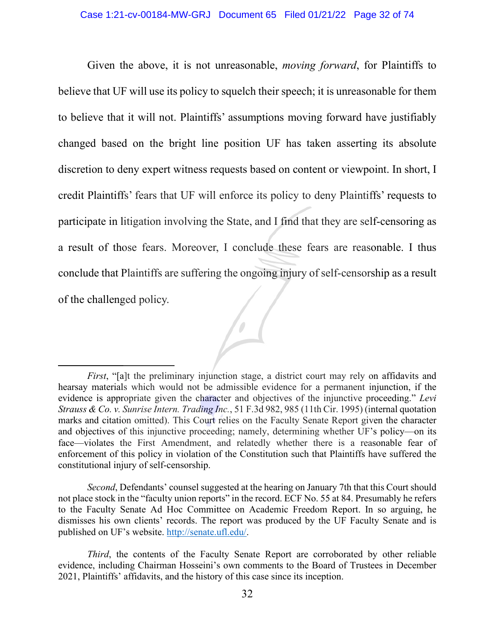Given the above, it is not unreasonable, *moving forward*, for Plaintiffs to believe that UF will use its policy to squelch their speech; it is unreasonable for them to believe that it will not. Plaintiffs' assumptions moving forward have justifiably changed based on the bright line position UF has taken asserting its absolute discretion to deny expert witness requests based on content or viewpoint. In short, I credit Plaintiffs' fears that UF will enforce its policy to deny Plaintiffs' requests to participate in litigation involving the State, and I find that they are self-censoring as a result of those fears. Moreover, I conclude these fears are reasonable. I thus conclude that Plaintiffs are suffering the ongoing injury of self-censorship as a result of the challenged policy.

*First*, "[a]t the preliminary injunction stage, a district court may rely on affidavits and hearsay materials which would not be admissible evidence for a permanent injunction, if the evidence is appropriate given the character and objectives of the injunctive proceeding." *Levi Strauss & Co. v. Sunrise Intern. Trading Inc.*, 51 F.3d 982, 985 (11th Cir. 1995) (internal quotation marks and citation omitted). This Court relies on the Faculty Senate Report given the character and objectives of this injunctive proceeding; namely, determining whether UF's policy—on its face—violates the First Amendment, and relatedly whether there is a reasonable fear of enforcement of this policy in violation of the Constitution such that Plaintiffs have suffered the constitutional injury of self-censorship.

*Second*, Defendants' counsel suggested at the hearing on January 7th that this Court should not place stock in the "faculty union reports" in the record. ECF No. 55 at 84. Presumably he refers to the Faculty Senate Ad Hoc Committee on Academic Freedom Report. In so arguing, he dismisses his own clients' records. The report was produced by the UF Faculty Senate and is published on UF's website. [http://senate.ufl.edu/.](http://senate.ufl.edu/)

*Third*, the contents of the Faculty Senate Report are corroborated by other reliable evidence, including Chairman Hosseini's own comments to the Board of Trustees in December 2021, Plaintiffs' affidavits, and the history of this case since its inception.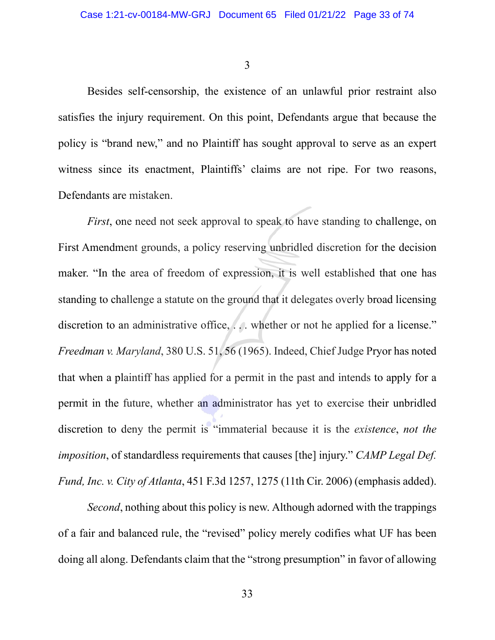3

Besides self-censorship, the existence of an unlawful prior restraint also satisfies the injury requirement. On this point, Defendants argue that because the policy is "brand new," and no Plaintiff has sought approval to serve as an expert witness since its enactment, Plaintiffs' claims are not ripe. For two reasons, Defendants are mistaken.

*First*, one need not seek approval to speak to have standing to challenge, on First Amendment grounds, a policy reserving unbridled discretion for the decision maker. "In the area of freedom of expression, it is well established that one has standing to challenge a statute on the ground that it delegates overly broad licensing discretion to an administrative office, ... whether or not he applied for a license." *Freedman v. Maryland*, 380 U.S. 51, 56 (1965). Indeed, Chief Judge Pryor has noted that when a plaintiff has applied for a permit in the past and intends to apply for a permit in the future, whether an administrator has yet to exercise their unbridled discretion to deny the permit is "immaterial because it is the *existence*, *not the imposition*, of standardless requirements that causes [the] injury." *CAMP Legal Def. Fund, Inc. v. City of Atlanta*, 451 F.3d 1257, 1275 (11th Cir. 2006) (emphasis added).

*Second*, nothing about this policy is new. Although adorned with the trappings of a fair and balanced rule, the "revised" policy merely codifies what UF has been doing all along. Defendants claim that the "strong presumption" in favor of allowing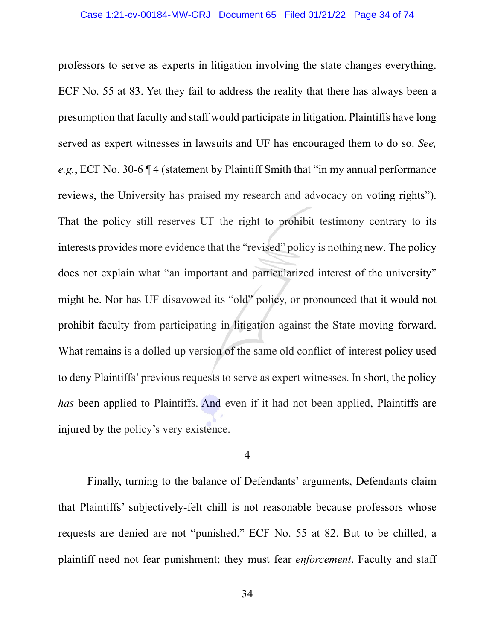professors to serve as experts in litigation involving the state changes everything. ECF No. 55 at 83. Yet they fail to address the reality that there has always been a presumption that faculty and staff would participate in litigation. Plaintiffs have long served as expert witnesses in lawsuits and UF has encouraged them to do so. *See, e.g.*, ECF No. 30-6 ¶ 4 (statement by Plaintiff Smith that "in my annual performance reviews, the University has praised my research and advocacy on voting rights"). That the policy still reserves UF the right to prohibit testimony contrary to its interests provides more evidence that the "revised" policy is nothing new. The policy does not explain what "an important and particularized interest of the university" might be. Nor has UF disavowed its "old" policy, or pronounced that it would not prohibit faculty from participating in litigation against the State moving forward. What remains is a dolled-up version of the same old conflict-of-interest policy used to deny Plaintiffs' previous requests to serve as expert witnesses. In short, the policy *has* been applied to Plaintiffs. And even if it had not been applied, Plaintiffs are injured by the policy's very existence.

## 4

Finally, turning to the balance of Defendants' arguments, Defendants claim that Plaintiffs' subjectively-felt chill is not reasonable because professors whose requests are denied are not "punished." ECF No. 55 at 82. But to be chilled, a plaintiff need not fear punishment; they must fear *enforcement*. Faculty and staff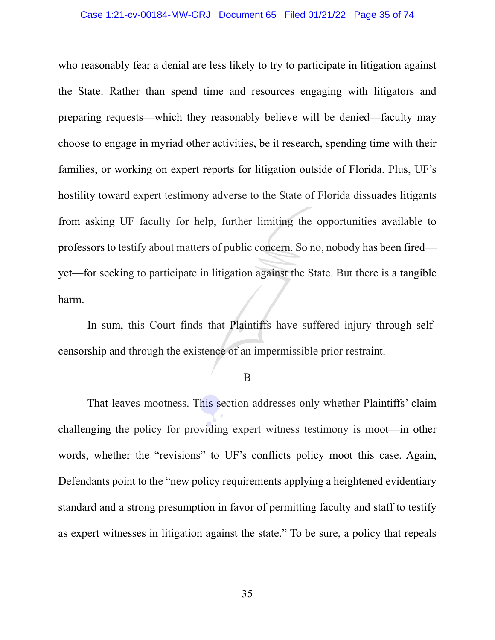### Case 1:21-cv-00184-MW-GRJ Document 65 Filed 01/21/22 Page 35 of 74

who reasonably fear a denial are less likely to try to participate in litigation against the State. Rather than spend time and resources engaging with litigators and preparing requests—which they reasonably believe will be denied—faculty may choose to engage in myriad other activities, be it research, spending time with their families, or working on expert reports for litigation outside of Florida. Plus, UF's hostility toward expert testimony adverse to the State of Florida dissuades litigants from asking UF faculty for help, further limiting the opportunities available to professors to testify about matters of public concern. So no, nobody has been fired yet—for seeking to participate in litigation against the State. But there is a tangible harm.

In sum, this Court finds that Plaintiffs have suffered injury through selfcensorship and through the existence of an impermissible prior restraint.

B

That leaves mootness. This section addresses only whether Plaintiffs' claim challenging the policy for providing expert witness testimony is moot—in other words, whether the "revisions" to UF's conflicts policy moot this case. Again, Defendants point to the "new policy requirements applying a heightened evidentiary standard and a strong presumption in favor of permitting faculty and staff to testify as expert witnesses in litigation against the state." To be sure, a policy that repeals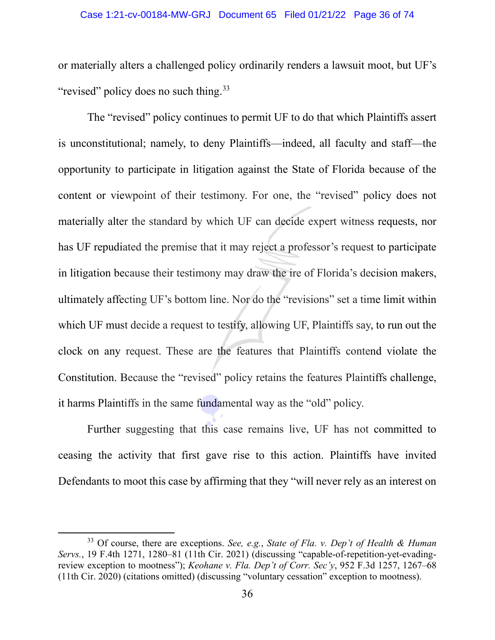or materially alters a challenged policy ordinarily renders a lawsuit moot, but UF's "revised" policy does no such thing.<sup>33</sup>

The "revised" policy continues to permit UF to do that which Plaintiffs assert is unconstitutional; namely, to deny Plaintiffs—indeed, all faculty and staff—the opportunity to participate in litigation against the State of Florida because of the content or viewpoint of their testimony. For one, the "revised" policy does not materially alter the standard by which UF can decide expert witness requests, nor has UF repudiated the premise that it may reject a professor's request to participate in litigation because their testimony may draw the ire of Florida's decision makers, ultimately affecting UF's bottom line. Nor do the "revisions" set a time limit within which UF must decide a request to testify, allowing UF, Plaintiffs say, to run out the clock on any request. These are the features that Plaintiffs contend violate the Constitution. Because the "revised" policy retains the features Plaintiffs challenge, it harms Plaintiffs in the same fundamental way as the "old" policy.

Further suggesting that this case remains live, UF has not committed to ceasing the activity that first gave rise to this action. Plaintiffs have invited Defendants to moot this case by affirming that they "will never rely as an interest on

<span id="page-35-0"></span><sup>33</sup> Of course, there are exceptions. *See, e.g.*, *State of Fla. v. Dep't of Health & Human Servs.*, 19 F.4th 1271, 1280–81 (11th Cir. 2021) (discussing "capable-of-repetition-yet-evadingreview exception to mootness"); *Keohane v. Fla. Dep't of Corr. Sec'y*, 952 F.3d 1257, 1267–68 (11th Cir. 2020) (citations omitted) (discussing "voluntary cessation" exception to mootness).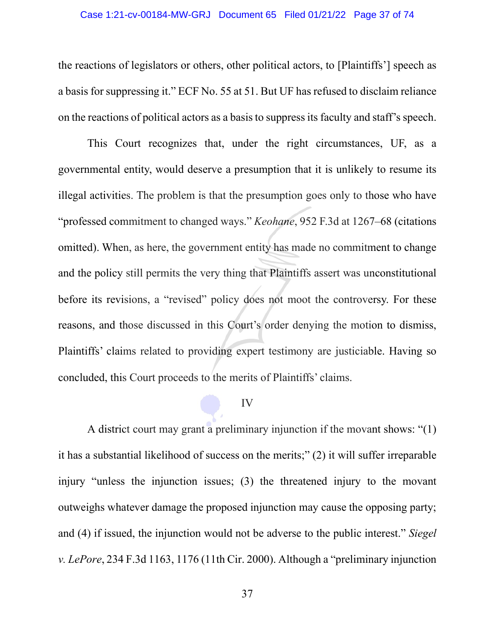## Case 1:21-cv-00184-MW-GRJ Document 65 Filed 01/21/22 Page 37 of 74

the reactions of legislators or others, other political actors, to [Plaintiffs'] speech as a basis for suppressing it." ECF No. 55 at 51. But UF has refused to disclaim reliance on the reactions of political actors as a basis to suppress its faculty and staff's speech.

This Court recognizes that, under the right circumstances, UF, as a governmental entity, would deserve a presumption that it is unlikely to resume its illegal activities. The problem is that the presumption goes only to those who have "professed commitment to changed ways." *Keohane*, 952 F.3d at 1267–68 (citations omitted). When, as here, the government entity has made no commitment to change and the policy still permits the very thing that Plaintiffs assert was unconstitutional before its revisions, a "revised" policy does not moot the controversy. For these reasons, and those discussed in this Court's order denying the motion to dismiss, Plaintiffs' claims related to providing expert testimony are justiciable. Having so concluded, this Court proceeds to the merits of Plaintiffs' claims.

## IV

A district court may grant a preliminary injunction if the movant shows: "(1) it has a substantial likelihood of success on the merits;" (2) it will suffer irreparable injury "unless the injunction issues; (3) the threatened injury to the movant outweighs whatever damage the proposed injunction may cause the opposing party; and (4) if issued, the injunction would not be adverse to the public interest." *Siegel v. LePore*, 234 F.3d 1163, 1176 (11th Cir. 2000). Although a "preliminary injunction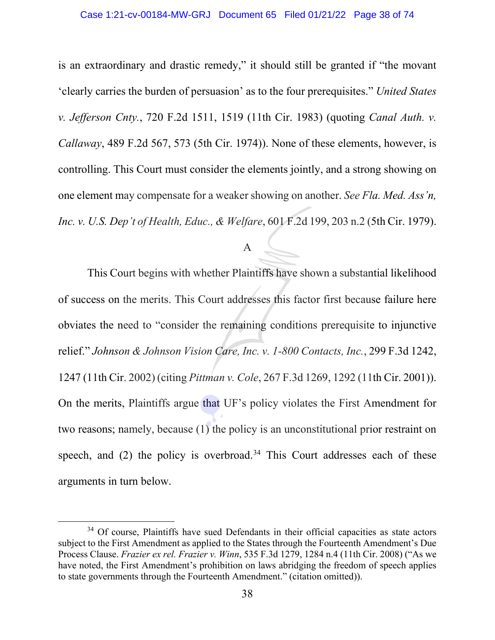is an extraordinary and drastic remedy," it should still be granted if "the movant 'clearly carries the burden of persuasion' as to the four prerequisites." *United States v. Jefferson Cnty.*, 720 F.2d 1511, 1519 (11th Cir. 1983) (quoting *Canal Auth. v. Callaway*, 489 F.2d 567, 573 (5th Cir. 1974)). None of these elements, however, is controlling. This Court must consider the elements jointly, and a strong showing on one element may compensate for a weaker showing on another. *See Fla. Med. Ass'n, Inc. v. U.S. Dep't of Health, Educ., & Welfare*, 601 F.2d 199, 203 n.2 (5th Cir. 1979).

## A

This Court begins with whether Plaintiffs have shown a substantial likelihood of success on the merits. This Court addresses this factor first because failure here obviates the need to "consider the remaining conditions prerequisite to injunctive relief." *Johnson & Johnson Vision Care, Inc. v. 1-800 Contacts, Inc.*, 299 F.3d 1242, 1247 (11th Cir. 2002) (citing *Pittman v. Cole*, 267 F.3d 1269, 1292 (11th Cir. 2001)). On the merits, Plaintiffs argue that UF's policy violates the First Amendment for two reasons; namely, because (1) the policy is an unconstitutional prior restraint on speech, and  $(2)$  the policy is overbroad.<sup>34</sup> This Court addresses each of these arguments in turn below.

<span id="page-37-0"></span><sup>&</sup>lt;sup>34</sup> Of course, Plaintiffs have sued Defendants in their official capacities as state actors subject to the First Amendment as applied to the States through the Fourteenth Amendment's Due Process Clause. *Frazier ex rel. Frazier v. Winn*, 535 F.3d 1279, 1284 n.4 (11th Cir. 2008) ("As we have noted, the First Amendment's prohibition on laws abridging the freedom of speech applies to state governments through the Fourteenth Amendment." (citation omitted)).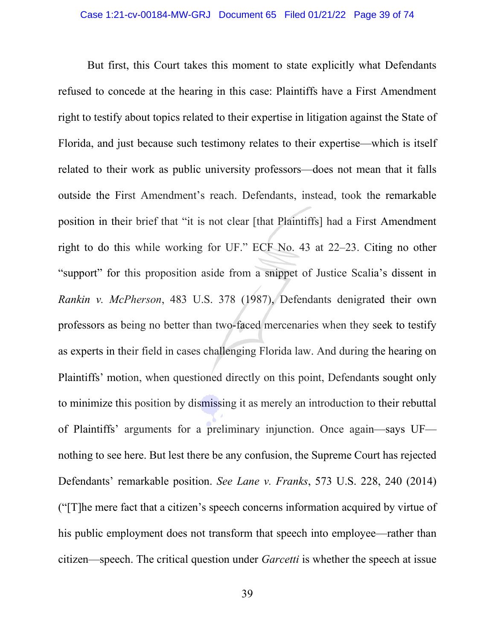But first, this Court takes this moment to state explicitly what Defendants refused to concede at the hearing in this case: Plaintiffs have a First Amendment right to testify about topics related to their expertise in litigation against the State of Florida, and just because such testimony relates to their expertise—which is itself related to their work as public university professors—does not mean that it falls outside the First Amendment's reach. Defendants, instead, took the remarkable position in their brief that "it is not clear [that Plaintiffs] had a First Amendment right to do this while working for UF." ECF No. 43 at 22–23. Citing no other "support" for this proposition aside from a snippet of Justice Scalia's dissent in *Rankin v. McPherson*, 483 U.S. 378 (1987), Defendants denigrated their own professors as being no better than two-faced mercenaries when they seek to testify as experts in their field in cases challenging Florida law. And during the hearing on Plaintiffs' motion, when questioned directly on this point, Defendants sought only to minimize this position by dismissing it as merely an introduction to their rebuttal of Plaintiffs' arguments for a preliminary injunction. Once again—says UF nothing to see here. But lest there be any confusion, the Supreme Court has rejected Defendants' remarkable position. *See Lane v. Franks*, 573 U.S. 228, 240 (2014) ("[T]he mere fact that a citizen's speech concerns information acquired by virtue of his public employment does not transform that speech into employee—rather than citizen—speech. The critical question under *Garcetti* is whether the speech at issue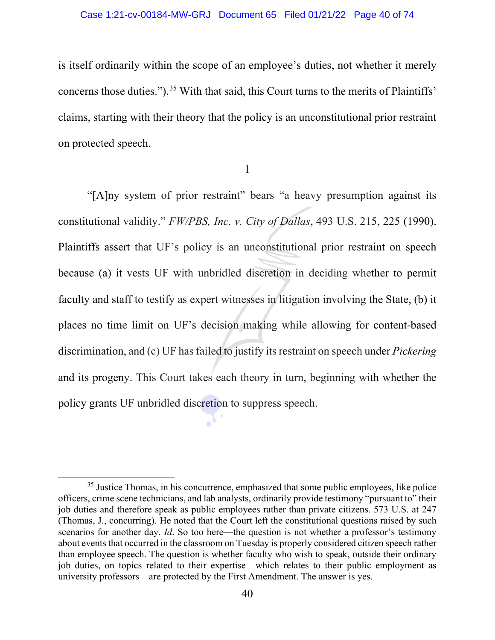is itself ordinarily within the scope of an employee's duties, not whether it merely concerns those duties.").<sup>[35](#page-39-0)</sup> With that said, this Court turns to the merits of Plaintiffs' claims, starting with their theory that the policy is an unconstitutional prior restraint on protected speech.

1

 "[A]ny system of prior restraint" bears "a heavy presumption against its constitutional validity." *FW/PBS, Inc. v. City of Dallas*, 493 U.S. 215, 225 (1990). Plaintiffs assert that UF's policy is an unconstitutional prior restraint on speech because (a) it vests UF with unbridled discretion in deciding whether to permit faculty and staff to testify as expert witnesses in litigation involving the State, (b) it places no time limit on UF's decision making while allowing for content-based discrimination, and (c) UF has failed to justify its restraint on speech under *Pickering*  and its progeny. This Court takes each theory in turn, beginning with whether the policy grants UF unbridled discretion to suppress speech.

<span id="page-39-0"></span><sup>&</sup>lt;sup>35</sup> Justice Thomas, in his concurrence, emphasized that some public employees, like police officers, crime scene technicians, and lab analysts, ordinarily provide testimony "pursuant to" their job duties and therefore speak as public employees rather than private citizens. 573 U.S. at 247 (Thomas, J., concurring). He noted that the Court left the constitutional questions raised by such scenarios for another day. *Id*. So too here—the question is not whether a professor's testimony about events that occurred in the classroom on Tuesday is properly considered citizen speech rather than employee speech. The question is whether faculty who wish to speak, outside their ordinary job duties, on topics related to their expertise—which relates to their public employment as university professors—are protected by the First Amendment. The answer is yes.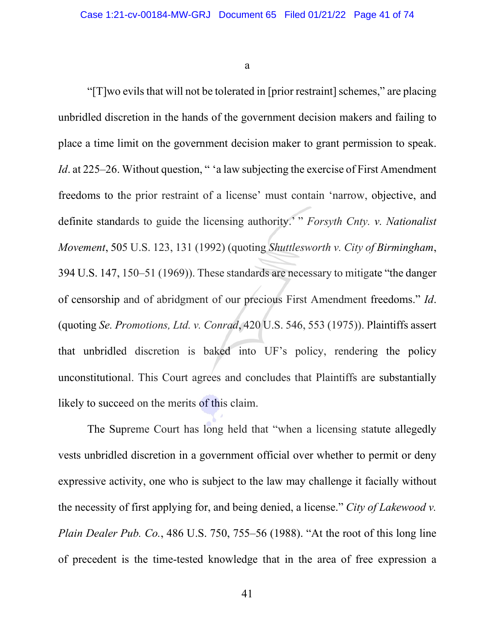a

" $[T]$ wo evils that will not be tolerated in [prior restraint] schemes," are placing unbridled discretion in the hands of the government decision makers and failing to place a time limit on the government decision maker to grant permission to speak. *Id.* at 225–26. Without question, " 'a law subjecting the exercise of First Amendment freedoms to the prior restraint of a license' must contain 'narrow, objective, and definite standards to guide the licensing authority.' " *Forsyth Cnty. v. Nationalist Movement*, 505 U.S. 123, 131 (1992) (quoting *Shuttlesworth v. City of Birmingham*, 394 U.S. 147, 150–51 (1969)). These standards are necessary to mitigate "the danger of censorship and of abridgment of our precious First Amendment freedoms." *Id*. (quoting *Se. Promotions, Ltd. v. Conrad*, 420 U.S. 546, 553 (1975)). Plaintiffs assert that unbridled discretion is baked into UF's policy, rendering the policy unconstitutional. This Court agrees and concludes that Plaintiffs are substantially likely to succeed on the merits of this claim.

The Supreme Court has long held that "when a licensing statute allegedly vests unbridled discretion in a government official over whether to permit or deny expressive activity, one who is subject to the law may challenge it facially without the necessity of first applying for, and being denied, a license." *City of Lakewood v. Plain Dealer Pub. Co.*, 486 U.S. 750, 755–56 (1988). "At the root of this long line of precedent is the time-tested knowledge that in the area of free expression a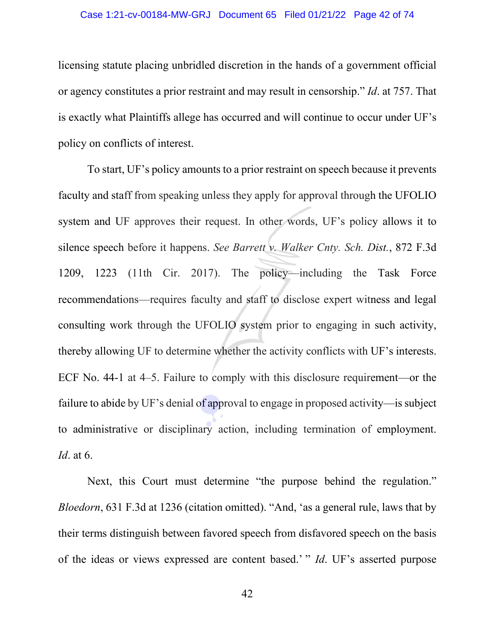#### Case 1:21-cv-00184-MW-GRJ Document 65 Filed 01/21/22 Page 42 of 74

licensing statute placing unbridled discretion in the hands of a government official or agency constitutes a prior restraint and may result in censorship." *Id*. at 757. That is exactly what Plaintiffs allege has occurred and will continue to occur under UF's policy on conflicts of interest.

To start, UF's policy amounts to a prior restraint on speech because it prevents faculty and staff from speaking unless they apply for approval through the UFOLIO system and UF approves their request. In other words, UF's policy allows it to silence speech before it happens. *See Barrett v. Walker Cnty. Sch. Dist.*, 872 F.3d 1209, 1223 (11th Cir. 2017). The policy—including the Task Force recommendations—requires faculty and staff to disclose expert witness and legal consulting work through the UFOLIO system prior to engaging in such activity, thereby allowing UF to determine whether the activity conflicts with UF's interests. ECF No. 44-1 at 4–5. Failure to comply with this disclosure requirement—or the failure to abide by UF's denial of approval to engage in proposed activity—is subject to administrative or disciplinary action, including termination of employment. *Id*. at 6.

Next, this Court must determine "the purpose behind the regulation." *Bloedorn*, 631 F.3d at 1236 (citation omitted). "And, 'as a general rule, laws that by their terms distinguish between favored speech from disfavored speech on the basis of the ideas or views expressed are content based.' " *Id*. UF's asserted purpose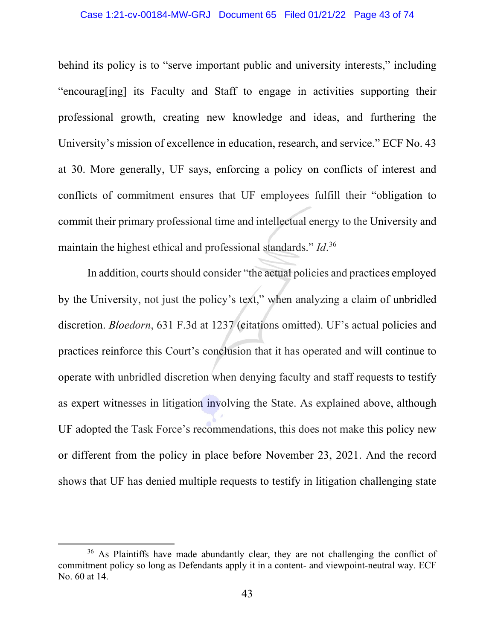## Case 1:21-cv-00184-MW-GRJ Document 65 Filed 01/21/22 Page 43 of 74

behind its policy is to "serve important public and university interests," including "encourag[ing] its Faculty and Staff to engage in activities supporting their professional growth, creating new knowledge and ideas, and furthering the University's mission of excellence in education, research, and service." ECF No. 43 at 30. More generally, UF says, enforcing a policy on conflicts of interest and conflicts of commitment ensures that UF employees fulfill their "obligation to commit their primary professional time and intellectual energy to the University and maintain the highest ethical and professional standards." *Id*. [36](#page-42-0)

In addition, courts should consider "the actual policies and practices employed by the University, not just the policy's text," when analyzing a claim of unbridled discretion. *Bloedorn*, 631 F.3d at 1237 (citations omitted). UF's actual policies and practices reinforce this Court's conclusion that it has operated and will continue to operate with unbridled discretion when denying faculty and staff requests to testify as expert witnesses in litigation involving the State. As explained above, although UF adopted the Task Force's recommendations, this does not make this policy new or different from the policy in place before November 23, 2021. And the record shows that UF has denied multiple requests to testify in litigation challenging state

<span id="page-42-0"></span><sup>&</sup>lt;sup>36</sup> As Plaintiffs have made abundantly clear, they are not challenging the conflict of commitment policy so long as Defendants apply it in a content- and viewpoint-neutral way. ECF No. 60 at 14.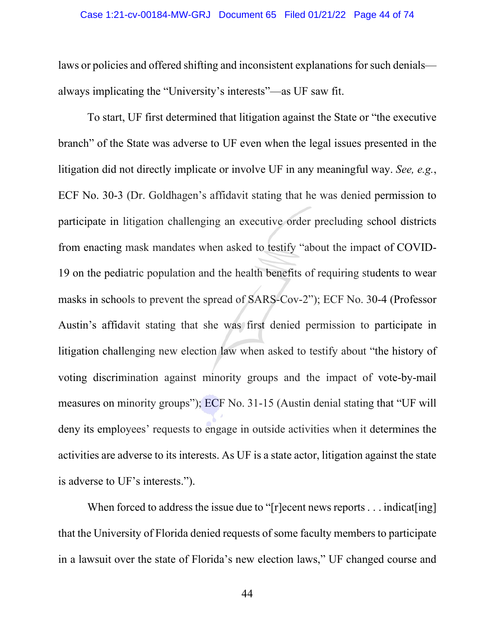laws or policies and offered shifting and inconsistent explanations for such denials always implicating the "University's interests"—as UF saw fit.

To start, UF first determined that litigation against the State or "the executive branch" of the State was adverse to UF even when the legal issues presented in the litigation did not directly implicate or involve UF in any meaningful way. *See, e.g.*, ECF No. 30-3 (Dr. Goldhagen's affidavit stating that he was denied permission to participate in litigation challenging an executive order precluding school districts from enacting mask mandates when asked to testify "about the impact of COVID-19 on the pediatric population and the health benefits of requiring students to wear masks in schools to prevent the spread of SARS-Cov-2"); ECF No. 30-4 (Professor Austin's affidavit stating that she was first denied permission to participate in litigation challenging new election law when asked to testify about "the history of voting discrimination against minority groups and the impact of vote-by-mail measures on minority groups"); ECF No. 31-15 (Austin denial stating that "UF will deny its employees' requests to engage in outside activities when it determines the activities are adverse to its interests. As UF is a state actor, litigation against the state is adverse to UF's interests.").

When forced to address the issue due to "[r]ecent news reports . . . indicat[ing] that the University of Florida denied requests of some faculty members to participate in a lawsuit over the state of Florida's new election laws," UF changed course and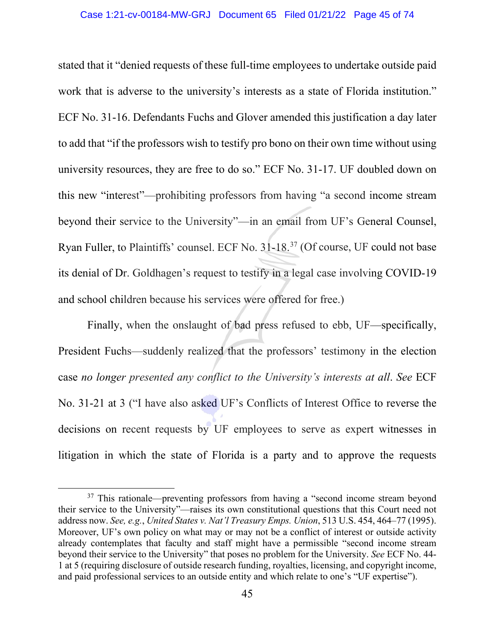stated that it "denied requests of these full-time employees to undertake outside paid work that is adverse to the university's interests as a state of Florida institution." ECF No. 31-16. Defendants Fuchs and Glover amended this justification a day later to add that "if the professors wish to testify pro bono on their own time without using university resources, they are free to do so." ECF No. 31-17. UF doubled down on this new "interest"—prohibiting professors from having "a second income stream beyond their service to the University"—in an email from UF's General Counsel, Ryan Fuller, to Plaintiffs' counsel. ECF No. 31-18.[37](#page-44-0) (Of course, UF could not base its denial of Dr. Goldhagen's request to testify in a legal case involving COVID-19 and school children because his services were offered for free.)

Finally, when the onslaught of bad press refused to ebb, UF—specifically, President Fuchs—suddenly realized that the professors' testimony in the election case *no longer presented any conflict to the University's interests at all*. *See* ECF No. 31-21 at 3 ("I have also asked UF's Conflicts of Interest Office to reverse the decisions on recent requests by UF employees to serve as expert witnesses in litigation in which the state of Florida is a party and to approve the requests

<span id="page-44-0"></span><sup>&</sup>lt;sup>37</sup> This rationale—preventing professors from having a "second income stream beyond their service to the University"—raises its own constitutional questions that this Court need not address now. *See, e.g.*, *United States v. Nat'l Treasury Emps. Union*, 513 U.S. 454, 464–77 (1995). Moreover, UF's own policy on what may or may not be a conflict of interest or outside activity already contemplates that faculty and staff might have a permissible "second income stream beyond their service to the University" that poses no problem for the University. *See* ECF No. 44- 1 at 5 (requiring disclosure of outside research funding, royalties, licensing, and copyright income, and paid professional services to an outside entity and which relate to one's "UF expertise").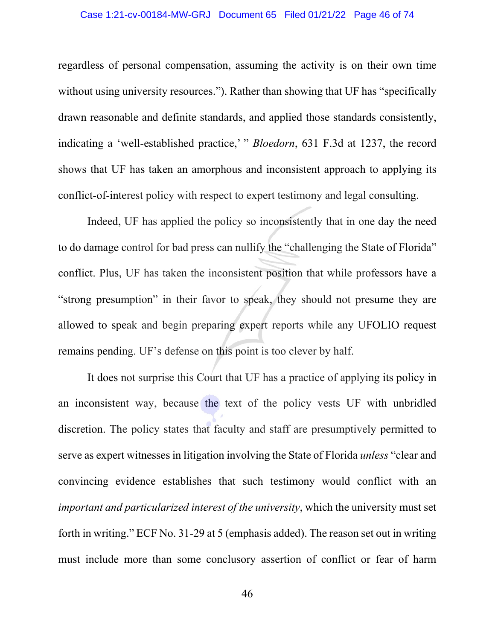#### Case 1:21-cv-00184-MW-GRJ Document 65 Filed 01/21/22 Page 46 of 74

regardless of personal compensation, assuming the activity is on their own time without using university resources."). Rather than showing that UF has "specifically drawn reasonable and definite standards, and applied those standards consistently, indicating a 'well-established practice,' " *Bloedorn*, 631 F.3d at 1237, the record shows that UF has taken an amorphous and inconsistent approach to applying its conflict-of-interest policy with respect to expert testimony and legal consulting.

Indeed, UF has applied the policy so inconsistently that in one day the need to do damage control for bad press can nullify the "challenging the State of Florida" conflict. Plus, UF has taken the inconsistent position that while professors have a "strong presumption" in their favor to speak, they should not presume they are allowed to speak and begin preparing expert reports while any UFOLIO request remains pending. UF's defense on this point is too clever by half.

It does not surprise this Court that UF has a practice of applying its policy in an inconsistent way, because the text of the policy vests UF with unbridled discretion. The policy states that faculty and staff are presumptively permitted to serve as expert witnesses in litigation involving the State of Florida *unless* "clear and convincing evidence establishes that such testimony would conflict with an *important and particularized interest of the university*, which the university must set forth in writing." ECF No. 31-29 at 5 (emphasis added). The reason set out in writing must include more than some conclusory assertion of conflict or fear of harm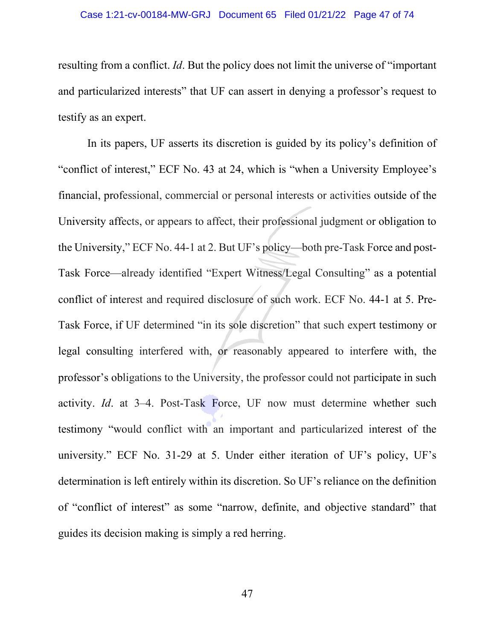resulting from a conflict. *Id*. But the policy does not limit the universe of "important and particularized interests" that UF can assert in denying a professor's request to testify as an expert.

In its papers, UF asserts its discretion is guided by its policy's definition of "conflict of interest," ECF No. 43 at 24, which is "when a University Employee's financial, professional, commercial or personal interests or activities outside of the University affects, or appears to affect, their professional judgment or obligation to the University," ECF No. 44-1 at 2. But UF's policy—both pre-Task Force and post-Task Force—already identified "Expert Witness/Legal Consulting" as a potential conflict of interest and required disclosure of such work. ECF No. 44-1 at 5. Pre-Task Force, if UF determined "in its sole discretion" that such expert testimony or legal consulting interfered with, or reasonably appeared to interfere with, the professor's obligations to the University, the professor could not participate in such activity. *Id*. at 3–4. Post-Task Force, UF now must determine whether such testimony "would conflict with an important and particularized interest of the university." ECF No. 31-29 at 5. Under either iteration of UF's policy, UF's determination is left entirely within its discretion. So UF's reliance on the definition of "conflict of interest" as some "narrow, definite, and objective standard" that guides its decision making is simply a red herring.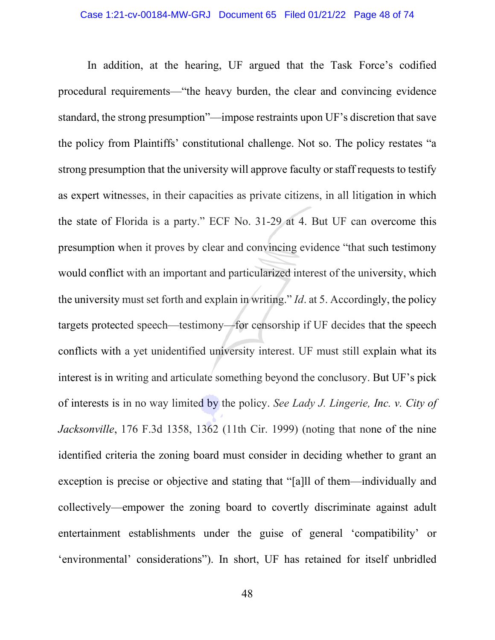In addition, at the hearing, UF argued that the Task Force's codified procedural requirements—"the heavy burden, the clear and convincing evidence standard, the strong presumption"—impose restraints upon UF's discretion that save the policy from Plaintiffs' constitutional challenge. Not so. The policy restates "a strong presumption that the university will approve faculty or staff requests to testify as expert witnesses, in their capacities as private citizens, in all litigation in which the state of Florida is a party." ECF No. 31-29 at 4. But UF can overcome this presumption when it proves by clear and convincing evidence "that such testimony would conflict with an important and particularized interest of the university, which the university must set forth and explain in writing." *Id*. at 5. Accordingly, the policy targets protected speech—testimony—for censorship if UF decides that the speech conflicts with a yet unidentified university interest. UF must still explain what its interest is in writing and articulate something beyond the conclusory. But UF's pick of interests is in no way limited by the policy. *See Lady J. Lingerie, Inc. v. City of Jacksonville*, 176 F.3d 1358, 1362 (11th Cir. 1999) (noting that none of the nine identified criteria the zoning board must consider in deciding whether to grant an exception is precise or objective and stating that "[a]ll of them—individually and collectively—empower the zoning board to covertly discriminate against adult entertainment establishments under the guise of general 'compatibility' or 'environmental' considerations"). In short, UF has retained for itself unbridled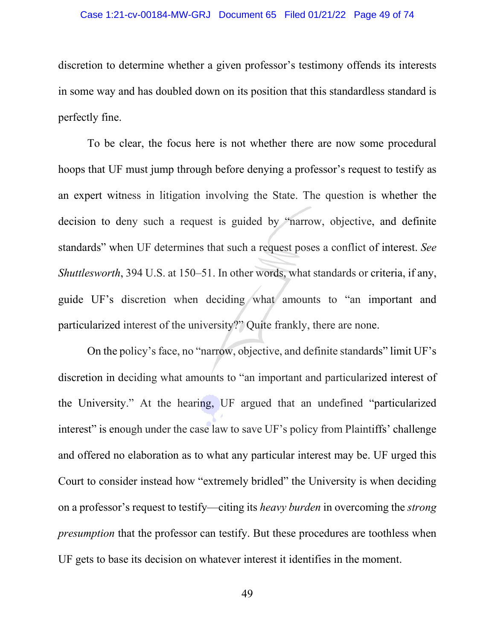## Case 1:21-cv-00184-MW-GRJ Document 65 Filed 01/21/22 Page 49 of 74

discretion to determine whether a given professor's testimony offends its interests in some way and has doubled down on its position that this standardless standard is perfectly fine.

To be clear, the focus here is not whether there are now some procedural hoops that UF must jump through before denying a professor's request to testify as an expert witness in litigation involving the State. The question is whether the decision to deny such a request is guided by "narrow, objective, and definite standards" when UF determines that such a request poses a conflict of interest. *See Shuttlesworth*, 394 U.S. at 150–51. In other words, what standards or criteria, if any, guide UF's discretion when deciding what amounts to "an important and particularized interest of the university?" Quite frankly, there are none.

On the policy's face, no "narrow, objective, and definite standards" limit UF's discretion in deciding what amounts to "an important and particularized interest of the University." At the hearing, UF argued that an undefined "particularized interest" is enough under the case law to save UF's policy from Plaintiffs' challenge and offered no elaboration as to what any particular interest may be. UF urged this Court to consider instead how "extremely bridled" the University is when deciding on a professor's request to testify—citing its *heavy burden* in overcoming the *strong presumption* that the professor can testify. But these procedures are toothless when UF gets to base its decision on whatever interest it identifies in the moment.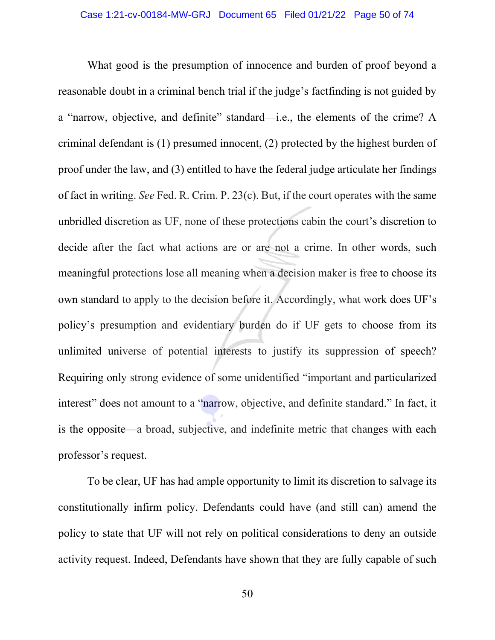What good is the presumption of innocence and burden of proof beyond a reasonable doubt in a criminal bench trial if the judge's factfinding is not guided by a "narrow, objective, and definite" standard—i.e., the elements of the crime? A criminal defendant is (1) presumed innocent, (2) protected by the highest burden of proof under the law, and (3) entitled to have the federal judge articulate her findings of fact in writing. *See* Fed. R. Crim. P. 23(c). But, if the court operates with the same unbridled discretion as UF, none of these protections cabin the court's discretion to decide after the fact what actions are or are not a crime. In other words, such meaningful protections lose all meaning when a decision maker is free to choose its own standard to apply to the decision before it. Accordingly, what work does UF's policy's presumption and evidentiary burden do if UF gets to choose from its unlimited universe of potential interests to justify its suppression of speech? Requiring only strong evidence of some unidentified "important and particularized interest" does not amount to a "narrow, objective, and definite standard." In fact, it is the opposite—a broad, subjective, and indefinite metric that changes with each professor's request.

To be clear, UF has had ample opportunity to limit its discretion to salvage its constitutionally infirm policy. Defendants could have (and still can) amend the policy to state that UF will not rely on political considerations to deny an outside activity request. Indeed, Defendants have shown that they are fully capable of such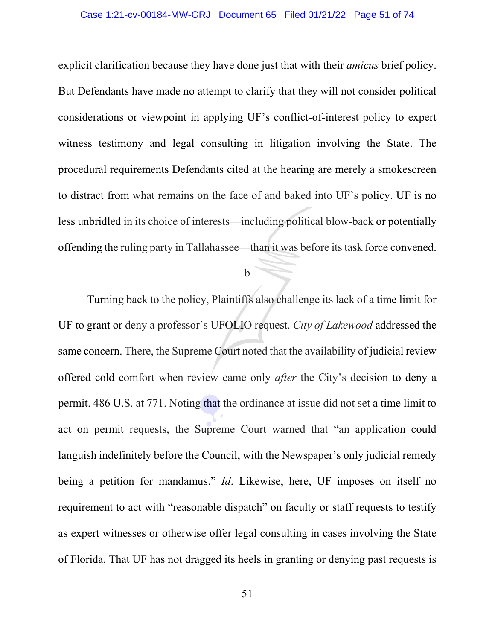## Case 1:21-cv-00184-MW-GRJ Document 65 Filed 01/21/22 Page 51 of 74

explicit clarification because they have done just that with their *amicus* brief policy. But Defendants have made no attempt to clarify that they will not consider political considerations or viewpoint in applying UF's conflict-of-interest policy to expert witness testimony and legal consulting in litigation involving the State. The procedural requirements Defendants cited at the hearing are merely a smokescreen to distract from what remains on the face of and baked into UF's policy. UF is no less unbridled in its choice of interests—including political blow-back or potentially offending the ruling party in Tallahassee—than it was before its task force convened.

b

Turning back to the policy, Plaintiffs also challenge its lack of a time limit for UF to grant or deny a professor's UFOLIO request. *City of Lakewood* addressed the same concern. There, the Supreme Court noted that the availability of judicial review offered cold comfort when review came only *after* the City's decision to deny a permit. 486 U.S. at 771. Noting that the ordinance at issue did not set a time limit to act on permit requests, the Supreme Court warned that "an application could languish indefinitely before the Council, with the Newspaper's only judicial remedy being a petition for mandamus." *Id*. Likewise, here, UF imposes on itself no requirement to act with "reasonable dispatch" on faculty or staff requests to testify as expert witnesses or otherwise offer legal consulting in cases involving the State of Florida. That UF has not dragged its heels in granting or denying past requests is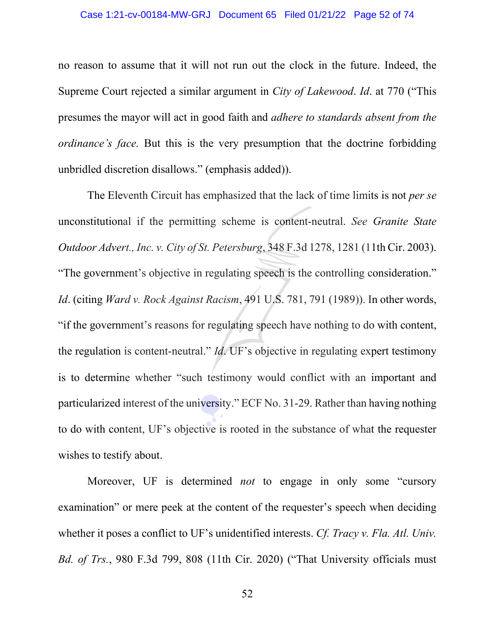#### Case 1:21-cv-00184-MW-GRJ Document 65 Filed 01/21/22 Page 52 of 74

no reason to assume that it will not run out the clock in the future. Indeed, the Supreme Court rejected a similar argument in *City of Lakewood*. *Id*. at 770 ("This presumes the mayor will act in good faith and *adhere to standards absent from the ordinance's face.* But this is the very presumption that the doctrine forbidding unbridled discretion disallows." (emphasis added)).

The Eleventh Circuit has emphasized that the lack of time limits is not *per se* unconstitutional if the permitting scheme is content-neutral. *See Granite State Outdoor Advert., Inc. v. City of St. Petersburg*, 348 F.3d 1278, 1281 (11th Cir. 2003). "The government's objective in regulating speech is the controlling consideration." *Id*. (citing *Ward v. Rock Against Racism*, 491 U.S. 781, 791 (1989)). In other words, "if the government's reasons for regulating speech have nothing to do with content, the regulation is content-neutral." *Id*. UF's objective in regulating expert testimony is to determine whether "such testimony would conflict with an important and particularized interest of the university." ECF No. 31-29. Rather than having nothing to do with content, UF's objective is rooted in the substance of what the requester wishes to testify about.

Moreover, UF is determined *not* to engage in only some "cursory examination" or mere peek at the content of the requester's speech when deciding whether it poses a conflict to UF's unidentified interests. *Cf. Tracy v. Fla. Atl. Univ. Bd. of Trs.*, 980 F.3d 799, 808 (11th Cir. 2020) ("That University officials must

52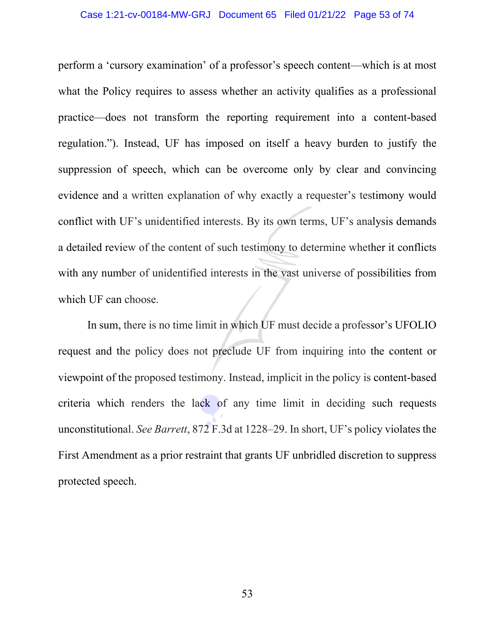#### Case 1:21-cv-00184-MW-GRJ Document 65 Filed 01/21/22 Page 53 of 74

perform a 'cursory examination' of a professor's speech content—which is at most what the Policy requires to assess whether an activity qualifies as a professional practice—does not transform the reporting requirement into a content-based regulation."). Instead, UF has imposed on itself a heavy burden to justify the suppression of speech, which can be overcome only by clear and convincing evidence and a written explanation of why exactly a requester's testimony would conflict with UF's unidentified interests. By its own terms, UF's analysis demands a detailed review of the content of such testimony to determine whether it conflicts with any number of unidentified interests in the vast universe of possibilities from which UF can choose.

In sum, there is no time limit in which UF must decide a professor's UFOLIO request and the policy does not preclude UF from inquiring into the content or viewpoint of the proposed testimony. Instead, implicit in the policy is content-based criteria which renders the lack of any time limit in deciding such requests unconstitutional. *See Barrett*, 872 F.3d at 1228–29. In short, UF's policy violates the First Amendment as a prior restraint that grants UF unbridled discretion to suppress protected speech.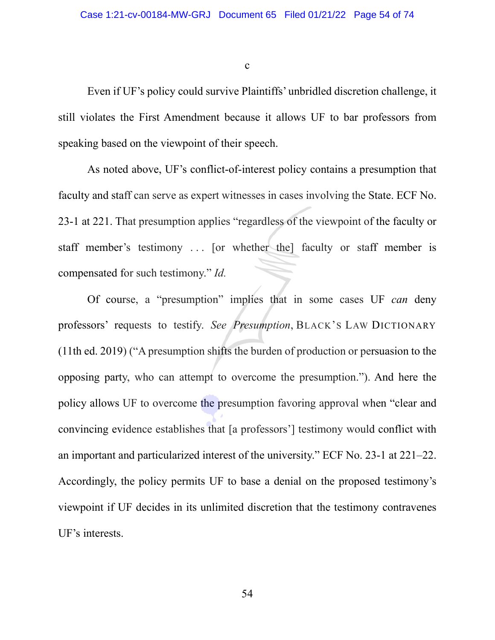c

Even if UF's policy could survive Plaintiffs' unbridled discretion challenge, it still violates the First Amendment because it allows UF to bar professors from speaking based on the viewpoint of their speech.

As noted above, UF's conflict-of-interest policy contains a presumption that faculty and staff can serve as expert witnesses in cases involving the State. ECF No. 23-1 at 221. That presumption applies "regardless of the viewpoint of the faculty or staff member's testimony ... [or whether the] faculty or staff member is compensated for such testimony." *Id.*

Of course, a "presumption" implies that in some cases UF *can* deny professors' requests to testify. *See Presumption*, BLACK'S LAW DICTIONARY (11th ed. 2019) ("A presumption shifts the burden of production or persuasion to the opposing party, who can attempt to overcome the presumption."). And here the policy allows UF to overcome the presumption favoring approval when "clear and convincing evidence establishes that [a professors'] testimony would conflict with an important and particularized interest of the university." ECF No. 23-1 at 221–22. Accordingly, the policy permits UF to base a denial on the proposed testimony's viewpoint if UF decides in its unlimited discretion that the testimony contravenes UF's interests.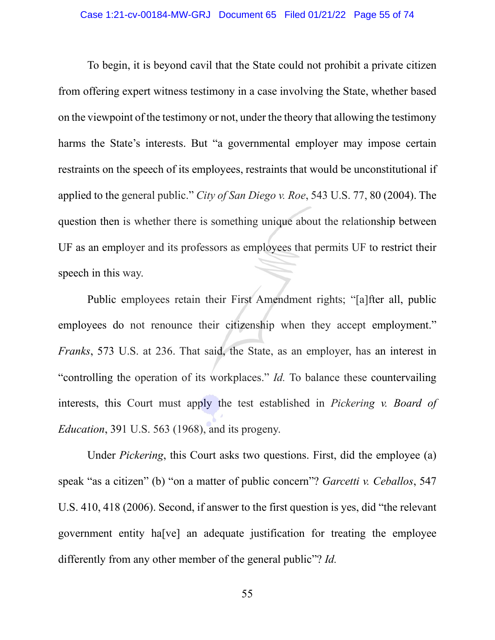To begin, it is beyond cavil that the State could not prohibit a private citizen from offering expert witness testimony in a case involving the State, whether based on the viewpoint of the testimony or not, under the theory that allowing the testimony harms the State's interests. But "a governmental employer may impose certain restraints on the speech of its employees, restraints that would be unconstitutional if applied to the general public." *City of San Diego v. Roe*, 543 U.S. 77, 80 (2004). The question then is whether there is something unique about the relationship between UF as an employer and its professors as employees that permits UF to restrict their speech in this way.

Public employees retain their First Amendment rights; "[a]fter all, public employees do not renounce their citizenship when they accept employment." *Franks*, 573 U.S. at 236. That said, the State, as an employer, has an interest in "controlling the operation of its workplaces." *Id.* To balance these countervailing interests, this Court must apply the test established in *Pickering v. Board of Education*, 391 U.S. 563 (1968), and its progeny.

Under *Pickering*, this Court asks two questions. First, did the employee (a) speak "as a citizen" (b) "on a matter of public concern"? *Garcetti v. Ceballos*, 547 U.S. 410, 418 (2006). Second, if answer to the first question is yes, did "the relevant government entity ha[ve] an adequate justification for treating the employee differently from any other member of the general public"? *Id.*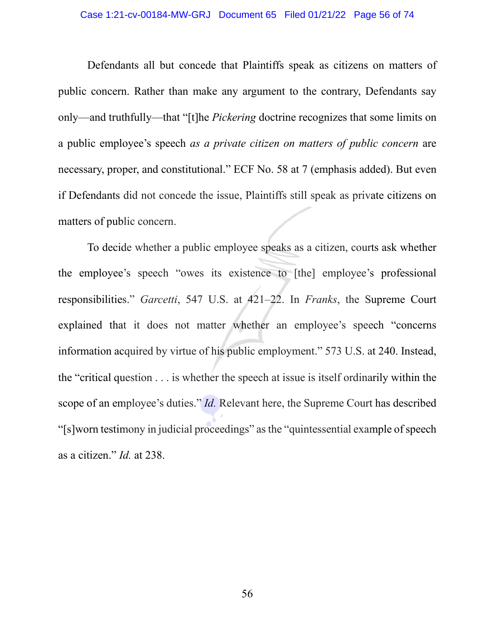#### Case 1:21-cv-00184-MW-GRJ Document 65 Filed 01/21/22 Page 56 of 74

Defendants all but concede that Plaintiffs speak as citizens on matters of public concern. Rather than make any argument to the contrary, Defendants say only—and truthfully—that "[t]he *Pickering* doctrine recognizes that some limits on a public employee's speech *as a private citizen on matters of public concern* are necessary, proper, and constitutional." ECF No. 58 at 7 (emphasis added). But even if Defendants did not concede the issue, Plaintiffs still speak as private citizens on matters of public concern.

To decide whether a public employee speaks as a citizen, courts ask whether the employee's speech "owes its existence to [the] employee's professional responsibilities." *Garcetti*, 547 U.S. at 421–22. In *Franks*, the Supreme Court explained that it does not matter whether an employee's speech "concerns information acquired by virtue of his public employment." 573 U.S. at 240. Instead, the "critical question . . . is whether the speech at issue is itself ordinarily within the scope of an employee's duties." *Id.* Relevant here, the Supreme Court has described "[s]worn testimony in judicial proceedings" as the "quintessential example of speech as a citizen." *Id.* at 238.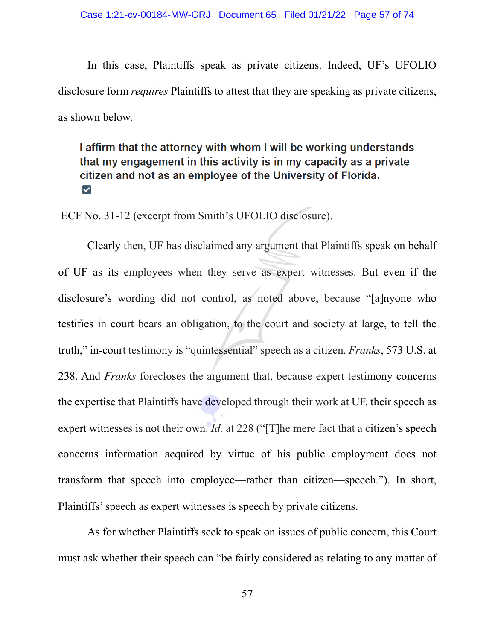In this case, Plaintiffs speak as private citizens. Indeed, UF's UFOLIO disclosure form *requires* Plaintiffs to attest that they are speaking as private citizens, as shown below.

# I affirm that the attorney with whom I will be working understands that my engagement in this activity is in my capacity as a private citizen and not as an employee of the University of Florida.  $\blacktriangledown$

ECF No. 31-12 (excerpt from Smith's UFOLIO disclosure).

Clearly then, UF has disclaimed any argument that Plaintiffs speak on behalf of UF as its employees when they serve as expert witnesses. But even if the disclosure's wording did not control, as noted above, because "[a]nyone who testifies in court bears an obligation, to the court and society at large, to tell the truth," in-court testimony is "quintessential" speech as a citizen. *Franks*, 573 U.S. at 238. And *Franks* forecloses the argument that, because expert testimony concerns the expertise that Plaintiffs have developed through their work at UF, their speech as expert witnesses is not their own. *Id.* at 228 ("[T]he mere fact that a citizen's speech concerns information acquired by virtue of his public employment does not transform that speech into employee—rather than citizen—speech."). In short, Plaintiffs' speech as expert witnesses is speech by private citizens.

As for whether Plaintiffs seek to speak on issues of public concern, this Court must ask whether their speech can "be fairly considered as relating to any matter of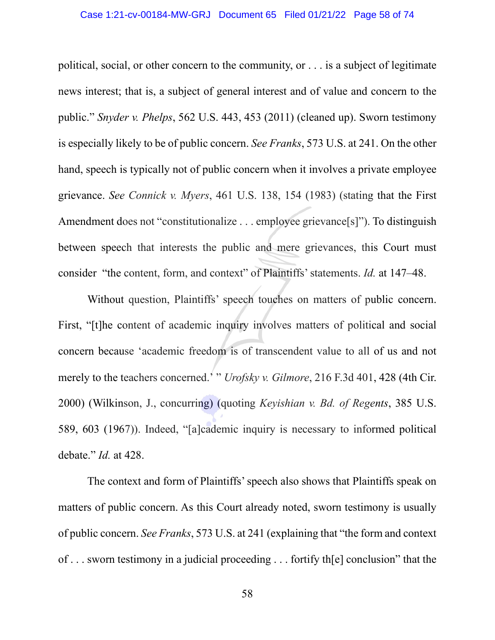## Case 1:21-cv-00184-MW-GRJ Document 65 Filed 01/21/22 Page 58 of 74

political, social, or other concern to the community, or . . . is a subject of legitimate news interest; that is, a subject of general interest and of value and concern to the public." *Snyder v. Phelps*, 562 U.S. 443, 453 (2011) (cleaned up). Sworn testimony is especially likely to be of public concern. *See Franks*, 573 U.S. at 241. On the other hand, speech is typically not of public concern when it involves a private employee grievance. *See Connick v. Myers*, 461 U.S. 138, 154 (1983) (stating that the First Amendment does not "constitutionalize . . . employee grievance[s]"). To distinguish between speech that interests the public and mere grievances, this Court must consider "the content, form, and context" of Plaintiffs' statements. *Id.* at 147–48.

Without question, Plaintiffs' speech touches on matters of public concern. First, "[t]he content of academic inquiry involves matters of political and social concern because 'academic freedom is of transcendent value to all of us and not merely to the teachers concerned.<sup>'</sup> " *Urofsky v. Gilmore*, 216 F.3d 401, 428 (4th Cir. 2000) (Wilkinson, J., concurring) (quoting *Keyishian v. Bd. of Regents*, 385 U.S. 589, 603 (1967)). Indeed, "[a]cademic inquiry is necessary to informed political debate." *Id.* at 428.

The context and form of Plaintiffs' speech also shows that Plaintiffs speak on matters of public concern. As this Court already noted, sworn testimony is usually of public concern. *See Franks*, 573 U.S. at 241 (explaining that "the form and context of . . . sworn testimony in a judicial proceeding . . . fortify th[e] conclusion" that the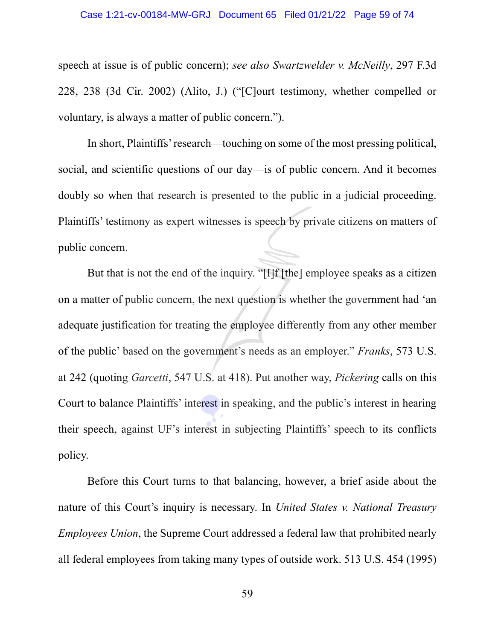#### Case 1:21-cv-00184-MW-GRJ Document 65 Filed 01/21/22 Page 59 of 74

speech at issue is of public concern); *see also Swartzwelder v. McNeilly*, 297 F.3d 228, 238 (3d Cir. 2002) (Alito, J.) ("[C]ourt testimony, whether compelled or voluntary, is always a matter of public concern.").

In short, Plaintiffs' research—touching on some of the most pressing political, social, and scientific questions of our day—is of public concern. And it becomes doubly so when that research is presented to the public in a judicial proceeding. Plaintiffs' testimony as expert witnesses is speech by private citizens on matters of public concern.

But that is not the end of the inquiry. "[I]f [the] employee speaks as a citizen on a matter of public concern, the next question is whether the government had 'an adequate justification for treating the employee differently from any other member of the public' based on the government's needs as an employer." *Franks*, 573 U.S. at 242 (quoting *Garcetti*, 547 U.S. at 418). Put another way, *Pickering* calls on this Court to balance Plaintiffs' interest in speaking, and the public's interest in hearing their speech, against UF's interest in subjecting Plaintiffs' speech to its conflicts policy.

Before this Court turns to that balancing, however, a brief aside about the nature of this Court's inquiry is necessary. In *United States v. National Treasury Employees Union*, the Supreme Court addressed a federal law that prohibited nearly all federal employees from taking many types of outside work. 513 U.S. 454 (1995)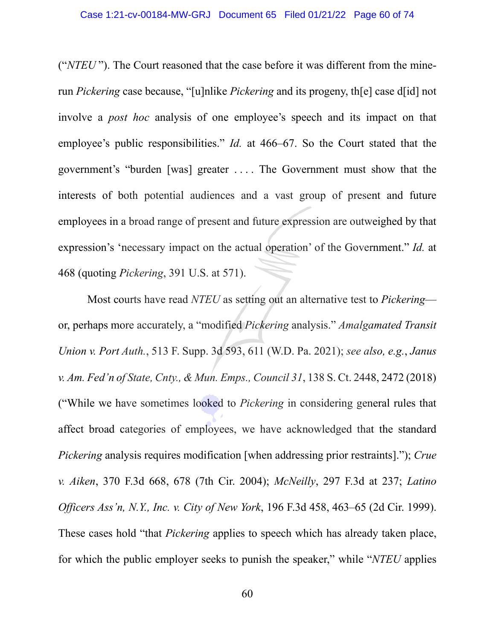("*NTEU* "). The Court reasoned that the case before it was different from the minerun *Pickering* case because, "[u]nlike *Pickering* and its progeny, th[e] case d[id] not involve a *post hoc* analysis of one employee's speech and its impact on that employee's public responsibilities." *Id.* at 466–67. So the Court stated that the government's "burden [was] greater . . . . The Government must show that the interests of both potential audiences and a vast group of present and future employees in a broad range of present and future expression are outweighed by that expression's 'necessary impact on the actual operation' of the Government." *Id.* at 468 (quoting *Pickering*, 391 U.S. at 571).

Most courts have read *NTEU* as setting out an alternative test to *Pickering* or, perhaps more accurately, a "modified *Pickering* analysis." *Amalgamated Transit Union v. Port Auth.*, 513 F. Supp. 3d 593, 611 (W.D. Pa. 2021); *see also, e.g.*, *Janus v. Am. Fed'n of State, Cnty., & Mun. Emps., Council 31*, 138 S. Ct. 2448, 2472 (2018) ("While we have sometimes looked to *Pickering* in considering general rules that affect broad categories of employees, we have acknowledged that the standard *Pickering* analysis requires modification [when addressing prior restraints]."); *Crue v. Aiken*, 370 F.3d 668, 678 (7th Cir. 2004); *McNeilly*, 297 F.3d at 237; *Latino Officers Ass'n, N.Y., Inc. v. City of New York*, 196 F.3d 458, 463–65 (2d Cir. 1999). These cases hold "that *Pickering* applies to speech which has already taken place, for which the public employer seeks to punish the speaker," while "*NTEU* applies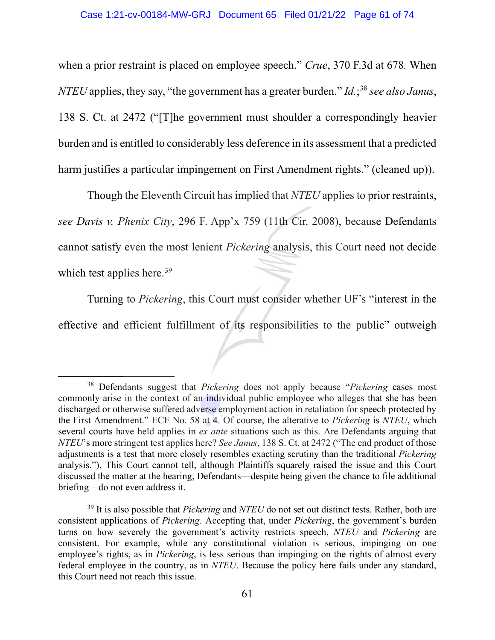when a prior restraint is placed on employee speech." *Crue*, 370 F.3d at 678*.* When *NTEU* applies, they say, "the government has a greater burden." *Id.*; [38](#page-60-0) *see also Janus*, 138 S. Ct. at 2472 ("[T]he government must shoulder a correspondingly heavier burden and is entitled to considerably less deference in its assessment that a predicted harm justifies a particular impingement on First Amendment rights." (cleaned up)).

Though the Eleventh Circuit has implied that *NTEU* applies to prior restraints, *see Davis v. Phenix City*, 296 F. App'x 759 (11th Cir. 2008), because Defendants cannot satisfy even the most lenient *Pickering* analysis, this Court need not decide which test applies here.<sup>[39](#page-60-1)</sup>

Turning to *Pickering*, this Court must consider whether UF's "interest in the effective and efficient fulfillment of its responsibilities to the public" outweigh

<span id="page-60-0"></span><sup>38</sup> Defendants suggest that *Pickering* does not apply because "*Pickering* cases most commonly arise in the context of an individual public employee who alleges that she has been discharged or otherwise suffered adverse employment action in retaliation for speech protected by the First Amendment." ECF No. 58 at 4. Of course, the alterative to *Pickering* is *NTEU*, which several courts have held applies in *ex ante* situations such as this. Are Defendants arguing that *NTEU*'s more stringent test applies here? *See Janus*, 138 S. Ct. at 2472 ("The end product of those adjustments is a test that more closely resembles exacting scrutiny than the traditional *Pickering*  analysis."). This Court cannot tell, although Plaintiffs squarely raised the issue and this Court discussed the matter at the hearing, Defendants—despite being given the chance to file additional briefing—do not even address it.

<span id="page-60-1"></span><sup>39</sup> It is also possible that *Pickering* and *NTEU* do not set out distinct tests. Rather, both are consistent applications of *Pickering*. Accepting that, under *Pickering*, the government's burden turns on how severely the government's activity restricts speech, *NTEU* and *Pickering* are consistent. For example, while any constitutional violation is serious, impinging on one employee's rights, as in *Pickering*, is less serious than impinging on the rights of almost every federal employee in the country, as in *NTEU*. Because the policy here fails under any standard, this Court need not reach this issue.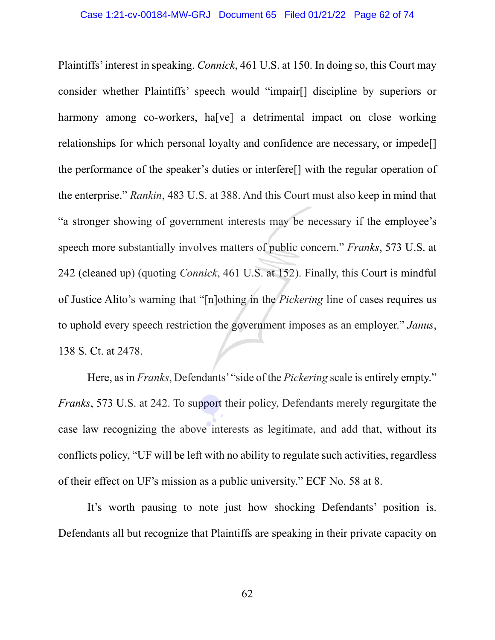Plaintiffs' interest in speaking. *Connick*, 461 U.S. at 150. In doing so, this Court may consider whether Plaintiffs' speech would "impair[] discipline by superiors or harmony among co-workers, ha<sup>[ve]</sup> a detrimental impact on close working relationships for which personal loyalty and confidence are necessary, or impede[] the performance of the speaker's duties or interfere[] with the regular operation of the enterprise." *Rankin*, 483 U.S. at 388. And this Court must also keep in mind that "a stronger showing of government interests may be necessary if the employee's speech more substantially involves matters of public concern." *Franks*, 573 U.S. at 242 (cleaned up) (quoting *Connick*, 461 U.S. at 152). Finally, this Court is mindful of Justice Alito's warning that "[n]othing in the *Pickering* line of cases requires us to uphold every speech restriction the government imposes as an employer." *Janus*, 138 S. Ct. at 2478.

Here, as in *Franks*, Defendants' "side of the *Pickering* scale is entirely empty." *Franks*, 573 U.S. at 242. To support their policy, Defendants merely regurgitate the case law recognizing the above interests as legitimate, and add that, without its conflicts policy, "UF will be left with no ability to regulate such activities, regardless of their effect on UF's mission as a public university." ECF No. 58 at 8.

It's worth pausing to note just how shocking Defendants' position is. Defendants all but recognize that Plaintiffs are speaking in their private capacity on

62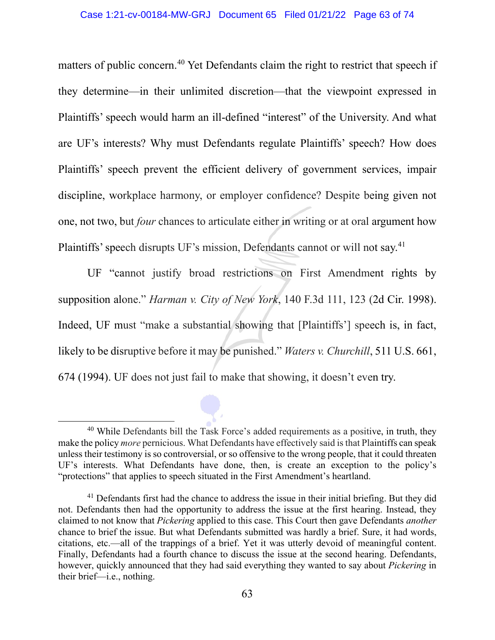matters of public concern.<sup>40</sup> Yet Defendants claim the right to restrict that speech if they determine—in their unlimited discretion—that the viewpoint expressed in Plaintiffs' speech would harm an ill-defined "interest" of the University. And what are UF's interests? Why must Defendants regulate Plaintiffs' speech? How does Plaintiffs' speech prevent the efficient delivery of government services, impair discipline, workplace harmony, or employer confidence? Despite being given not one, not two, but *four* chances to articulate either in writing or at oral argument how Plaintiffs' speech disrupts UF's mission, Defendants cannot or will not say.<sup>41</sup>

UF "cannot justify broad restrictions on First Amendment rights by supposition alone." *Harman v. City of New York*, 140 F.3d 111, 123 (2d Cir. 1998). Indeed, UF must "make a substantial showing that [Plaintiffs'] speech is, in fact, likely to be disruptive before it may be punished." *Waters v. Churchill*, 511 U.S. 661, 674 (1994). UF does not just fail to make that showing, it doesn't even try.

<span id="page-62-0"></span><sup>&</sup>lt;sup>40</sup> While Defendants bill the Task Force's added requirements as a positive, in truth, they make the policy *more* pernicious. What Defendants have effectively said is that Plaintiffs can speak unless their testimony is so controversial, or so offensive to the wrong people, that it could threaten UF's interests. What Defendants have done, then, is create an exception to the policy's "protections" that applies to speech situated in the First Amendment's heartland.

<span id="page-62-1"></span><sup>&</sup>lt;sup>41</sup> Defendants first had the chance to address the issue in their initial briefing. But they did not. Defendants then had the opportunity to address the issue at the first hearing. Instead, they claimed to not know that *Pickering* applied to this case. This Court then gave Defendants *another*  chance to brief the issue. But what Defendants submitted was hardly a brief. Sure, it had words, citations, etc.—all of the trappings of a brief. Yet it was utterly devoid of meaningful content. Finally, Defendants had a fourth chance to discuss the issue at the second hearing. Defendants, however, quickly announced that they had said everything they wanted to say about *Pickering* in their brief—i.e., nothing.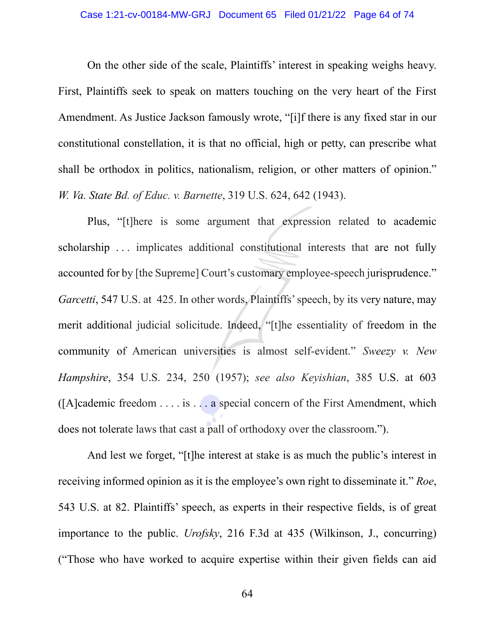#### Case 1:21-cv-00184-MW-GRJ Document 65 Filed 01/21/22 Page 64 of 74

On the other side of the scale, Plaintiffs' interest in speaking weighs heavy. First, Plaintiffs seek to speak on matters touching on the very heart of the First Amendment. As Justice Jackson famously wrote, "[i]f there is any fixed star in our constitutional constellation, it is that no official, high or petty, can prescribe what shall be orthodox in politics, nationalism, religion, or other matters of opinion." *W. Va. State Bd. of Educ. v. Barnette*, 319 U.S. 624, 642 (1943).

Plus, "[t]here is some argument that expression related to academic scholarship . . . implicates additional constitutional interests that are not fully accounted for by [the Supreme] Court's customary employee-speech jurisprudence." *Garcetti*, 547 U.S. at 425. In other words, Plaintiffs' speech, by its very nature, may merit additional judicial solicitude. Indeed, "[t]he essentiality of freedom in the community of American universities is almost self-evident." *Sweezy v. New Hampshire*, 354 U.S. 234, 250 (1957); *see also Keyishian*, 385 U.S. at 603  $([A]cademic freedom ... is ... is ... a special concern of the First Amendment, which$ does not tolerate laws that cast a pall of orthodoxy over the classroom.").

And lest we forget, "[t]he interest at stake is as much the public's interest in receiving informed opinion as it is the employee's own right to disseminate it." *Roe*, 543 U.S. at 82. Plaintiffs' speech, as experts in their respective fields, is of great importance to the public. *Urofsky*, 216 F.3d at 435 (Wilkinson, J., concurring) ("Those who have worked to acquire expertise within their given fields can aid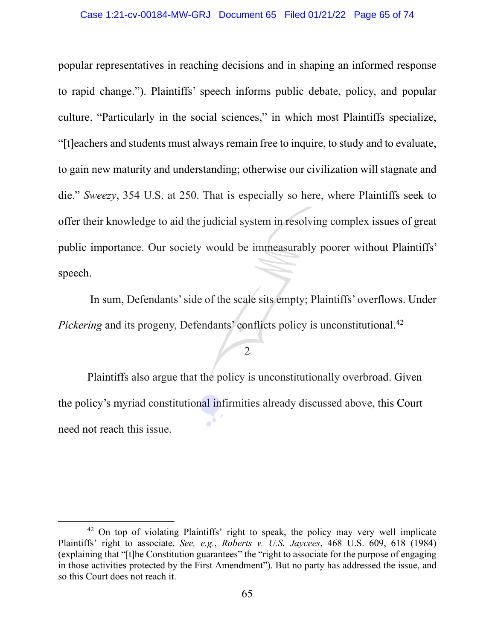#### Case 1:21-cv-00184-MW-GRJ Document 65 Filed 01/21/22 Page 65 of 74

popular representatives in reaching decisions and in shaping an informed response to rapid change."). Plaintiffs' speech informs public debate, policy, and popular culture. "Particularly in the social sciences," in which most Plaintiffs specialize, "[t]eachers and students must always remain free to inquire, to study and to evaluate, to gain new maturity and understanding; otherwise our civilization will stagnate and die." *Sweezy*, 354 U.S. at 250. That is especially so here, where Plaintiffs seek to offer their knowledge to aid the judicial system in resolving complex issues of great public importance. Our society would be immeasurably poorer without Plaintiffs' speech.

In sum, Defendants' side of the scale sits empty; Plaintiffs' overflows. Under *Pickering* and its progeny, Defendants' conflicts policy is unconstitutional.<sup>[42](#page-64-0)</sup>

#### 2

Plaintiffs also argue that the policy is unconstitutionally overbroad. Given the policy's myriad constitutional infirmities already discussed above, this Court need not reach this issue.

<span id="page-64-0"></span><sup>&</sup>lt;sup>42</sup> On top of violating Plaintiffs' right to speak, the policy may very well implicate Plaintiffs' right to associate. *See, e.g.*, *Roberts v. U.S. Jaycees*, 468 U.S. 609, 618 (1984) (explaining that "[t]he Constitution guarantees" the "right to associate for the purpose of engaging in those activities protected by the First Amendment"). But no party has addressed the issue, and so this Court does not reach it.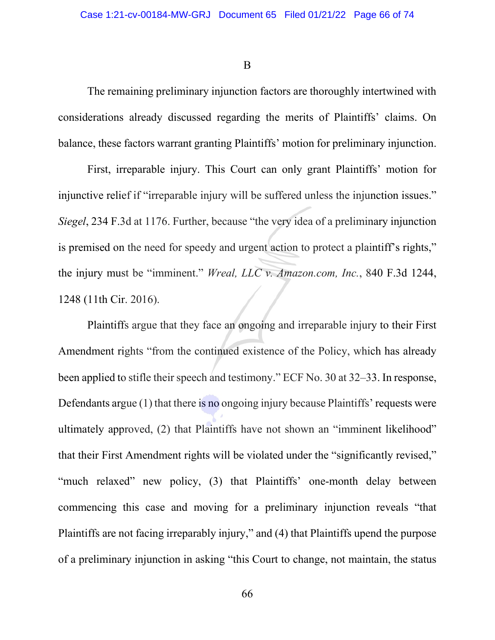B

The remaining preliminary injunction factors are thoroughly intertwined with considerations already discussed regarding the merits of Plaintiffs' claims. On balance, these factors warrant granting Plaintiffs' motion for preliminary injunction.

First, irreparable injury. This Court can only grant Plaintiffs' motion for injunctive relief if "irreparable injury will be suffered unless the injunction issues." *Siegel*, 234 F.3d at 1176. Further, because "the very idea of a preliminary injunction is premised on the need for speedy and urgent action to protect a plaintiff's rights," the injury must be "imminent." *Wreal, LLC v. Amazon.com, Inc.*, 840 F.3d 1244, 1248 (11th Cir. 2016).

Plaintiffs argue that they face an ongoing and irreparable injury to their First Amendment rights "from the continued existence of the Policy, which has already been applied to stifle their speech and testimony." ECF No. 30 at 32–33. In response, Defendants argue (1) that there is no ongoing injury because Plaintiffs' requests were ultimately approved, (2) that Plaintiffs have not shown an "imminent likelihood" that their First Amendment rights will be violated under the "significantly revised," "much relaxed" new policy, (3) that Plaintiffs' one-month delay between commencing this case and moving for a preliminary injunction reveals "that Plaintiffs are not facing irreparably injury," and (4) that Plaintiffs upend the purpose of a preliminary injunction in asking "this Court to change, not maintain, the status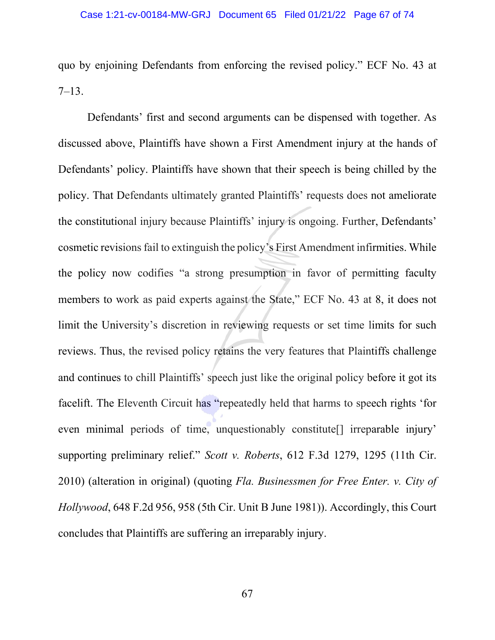quo by enjoining Defendants from enforcing the revised policy." ECF No. 43 at 7–13.

Defendants' first and second arguments can be dispensed with together. As discussed above, Plaintiffs have shown a First Amendment injury at the hands of Defendants' policy. Plaintiffs have shown that their speech is being chilled by the policy. That Defendants ultimately granted Plaintiffs' requests does not ameliorate the constitutional injury because Plaintiffs' injury is ongoing. Further, Defendants' cosmetic revisions fail to extinguish the policy's First Amendment infirmities. While the policy now codifies "a strong presumption in favor of permitting faculty members to work as paid experts against the State," ECF No. 43 at 8, it does not limit the University's discretion in reviewing requests or set time limits for such reviews. Thus, the revised policy retains the very features that Plaintiffs challenge and continues to chill Plaintiffs' speech just like the original policy before it got its facelift. The Eleventh Circuit has "repeatedly held that harms to speech rights 'for even minimal periods of time, unquestionably constitute[] irreparable injury' supporting preliminary relief." *Scott v. Roberts*, 612 F.3d 1279, 1295 (11th Cir. 2010) (alteration in original) (quoting *Fla. Businessmen for Free Enter. v. City of Hollywood*, 648 F.2d 956, 958 (5th Cir. Unit B June 1981)). Accordingly, this Court concludes that Plaintiffs are suffering an irreparably injury.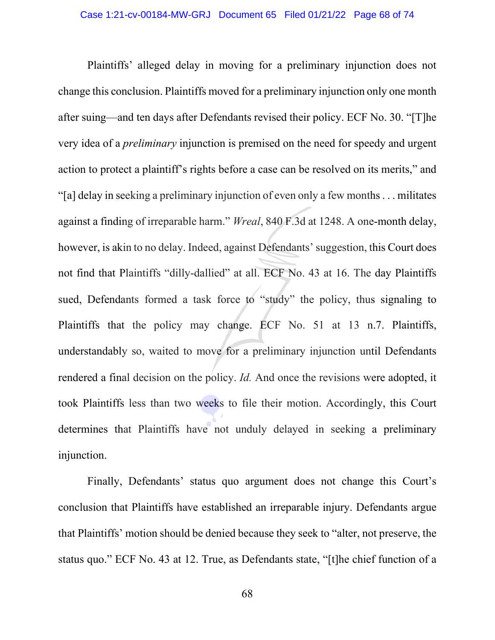Plaintiffs' alleged delay in moving for a preliminary injunction does not change this conclusion. Plaintiffs moved for a preliminary injunction only one month after suing—and ten days after Defendants revised their policy. ECF No. 30. "[T]he very idea of a *preliminary* injunction is premised on the need for speedy and urgent action to protect a plaintiff's rights before a case can be resolved on its merits," and "[a] delay in seeking a preliminary injunction of even only a few months . . . militates against a finding of irreparable harm." *Wreal*, 840 F.3d at 1248. A one-month delay, however, is akin to no delay. Indeed, against Defendants' suggestion, this Court does not find that Plaintiffs "dilly-dallied" at all. ECF No. 43 at 16. The day Plaintiffs sued, Defendants formed a task force to "study" the policy, thus signaling to Plaintiffs that the policy may change. ECF No. 51 at 13 n.7. Plaintiffs, understandably so, waited to move for a preliminary injunction until Defendants rendered a final decision on the policy. *Id.* And once the revisions were adopted, it took Plaintiffs less than two weeks to file their motion. Accordingly, this Court determines that Plaintiffs have not unduly delayed in seeking a preliminary injunction.

Finally, Defendants' status quo argument does not change this Court's conclusion that Plaintiffs have established an irreparable injury. Defendants argue that Plaintiffs' motion should be denied because they seek to "alter, not preserve, the status quo." ECF No. 43 at 12. True, as Defendants state, "[t]he chief function of a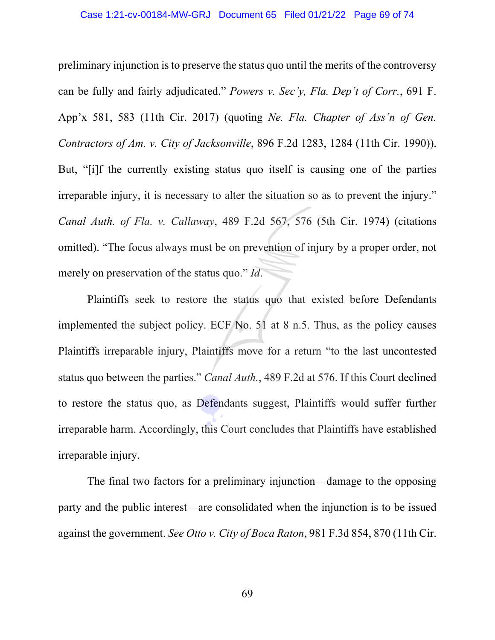preliminary injunction is to preserve the status quo until the merits of the controversy can be fully and fairly adjudicated." *Powers v. Sec'y, Fla. Dep't of Corr.*, 691 F. App'x 581, 583 (11th Cir. 2017) (quoting *Ne. Fla. Chapter of Ass'n of Gen. Contractors of Am. v. City of Jacksonville*, 896 F.2d 1283, 1284 (11th Cir. 1990)). But, "[i]f the currently existing status quo itself is causing one of the parties irreparable injury, it is necessary to alter the situation so as to prevent the injury." *Canal Auth. of Fla. v. Callaway*, 489 F.2d 567, 576 (5th Cir. 1974) (citations omitted). "The focus always must be on prevention of injury by a proper order, not merely on preservation of the status quo." *Id*.

Plaintiffs seek to restore the status quo that existed before Defendants implemented the subject policy. ECF No. 51 at 8 n.5. Thus, as the policy causes Plaintiffs irreparable injury, Plaintiffs move for a return "to the last uncontested status quo between the parties." *Canal Auth.*, 489 F.2d at 576. If this Court declined to restore the status quo, as Defendants suggest, Plaintiffs would suffer further irreparable harm. Accordingly, this Court concludes that Plaintiffs have established irreparable injury.

The final two factors for a preliminary injunction—damage to the opposing party and the public interest—are consolidated when the injunction is to be issued against the government. *See Otto v. City of Boca Raton*, 981 F.3d 854, 870 (11th Cir.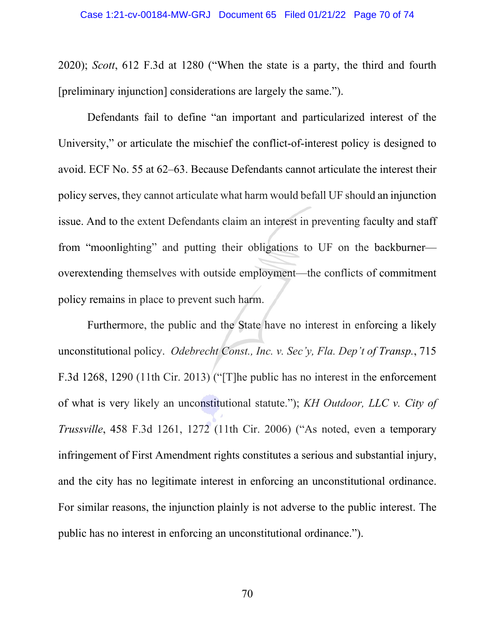2020); *Scott*, 612 F.3d at 1280 ("When the state is a party, the third and fourth [preliminary injunction] considerations are largely the same.").

Defendants fail to define "an important and particularized interest of the University," or articulate the mischief the conflict-of-interest policy is designed to avoid. ECF No. 55 at 62–63. Because Defendants cannot articulate the interest their policy serves, they cannot articulate what harm would befall UF should an injunction issue. And to the extent Defendants claim an interest in preventing faculty and staff from "moonlighting" and putting their obligations to UF on the backburner overextending themselves with outside employment—the conflicts of commitment policy remains in place to prevent such harm.

Furthermore, the public and the State have no interest in enforcing a likely unconstitutional policy. *Odebrecht Const., Inc. v. Sec'y, Fla. Dep't of Transp.*, 715 F.3d 1268, 1290 (11th Cir. 2013) ("[T]he public has no interest in the enforcement of what is very likely an unconstitutional statute."); *KH Outdoor, LLC v. City of Trussville*, 458 F.3d 1261, 1272 (11th Cir. 2006) ("As noted, even a temporary infringement of First Amendment rights constitutes a serious and substantial injury, and the city has no legitimate interest in enforcing an unconstitutional ordinance. For similar reasons, the injunction plainly is not adverse to the public interest. The public has no interest in enforcing an unconstitutional ordinance.").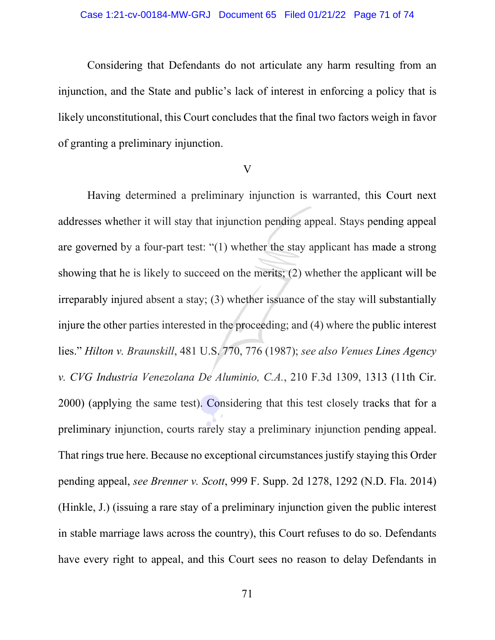## Case 1:21-cv-00184-MW-GRJ Document 65 Filed 01/21/22 Page 71 of 74

Considering that Defendants do not articulate any harm resulting from an injunction, and the State and public's lack of interest in enforcing a policy that is likely unconstitutional, this Court concludes that the final two factors weigh in favor of granting a preliminary injunction.

## V

Having determined a preliminary injunction is warranted, this Court next addresses whether it will stay that injunction pending appeal. Stays pending appeal are governed by a four-part test: "(1) whether the stay applicant has made a strong showing that he is likely to succeed on the merits; (2) whether the applicant will be irreparably injured absent a stay; (3) whether issuance of the stay will substantially injure the other parties interested in the proceeding; and (4) where the public interest lies." *Hilton v. Braunskill*, 481 U.S. 770, 776 (1987); *see also Venues Lines Agency v. CVG Industria Venezolana De Aluminio, C.A.*, 210 F.3d 1309, 1313 (11th Cir. 2000) (applying the same test). Considering that this test closely tracks that for a preliminary injunction, courts rarely stay a preliminary injunction pending appeal. That rings true here. Because no exceptional circumstances justify staying this Order pending appeal, *see Brenner v. Scott*, 999 F. Supp. 2d 1278, 1292 (N.D. Fla. 2014) (Hinkle, J.) (issuing a rare stay of a preliminary injunction given the public interest in stable marriage laws across the country), this Court refuses to do so. Defendants have every right to appeal, and this Court sees no reason to delay Defendants in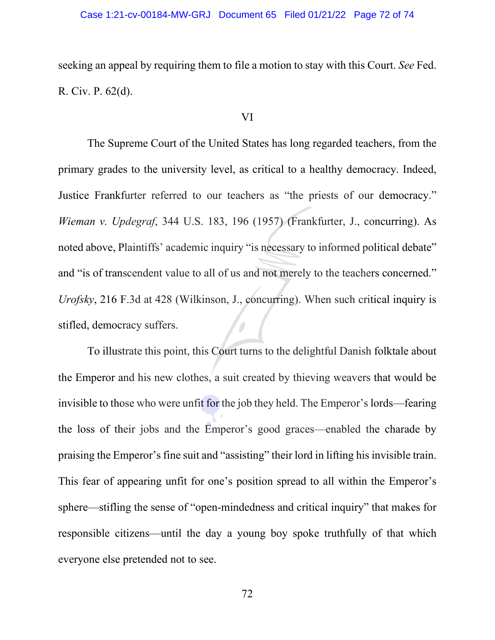seeking an appeal by requiring them to file a motion to stay with this Court. *See* Fed. R. Civ. P. 62(d).

## VI

The Supreme Court of the United States has long regarded teachers, from the primary grades to the university level, as critical to a healthy democracy. Indeed, Justice Frankfurter referred to our teachers as "the priests of our democracy." *Wieman v. Updegraf*, 344 U.S. 183, 196 (1957) (Frankfurter, J., concurring). As noted above, Plaintiffs' academic inquiry "is necessary to informed political debate" and "is of transcendent value to all of us and not merely to the teachers concerned." *Urofsky*, 216 F.3d at 428 (Wilkinson, J., concurring). When such critical inquiry is stifled, democracy suffers.

To illustrate this point, this Court turns to the delightful Danish folktale about the Emperor and his new clothes, a suit created by thieving weavers that would be invisible to those who were unfit for the job they held. The Emperor's lords—fearing the loss of their jobs and the Emperor's good graces—enabled the charade by praising the Emperor's fine suit and "assisting" their lord in lifting his invisible train. This fear of appearing unfit for one's position spread to all within the Emperor's sphere—stifling the sense of "open-mindedness and critical inquiry" that makes for responsible citizens—until the day a young boy spoke truthfully of that which everyone else pretended not to see.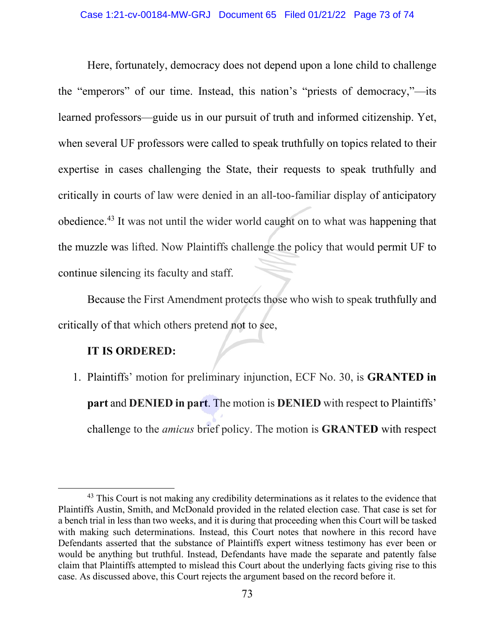Here, fortunately, democracy does not depend upon a lone child to challenge the "emperors" of our time. Instead, this nation's "priests of democracy,"—its learned professors—guide us in our pursuit of truth and informed citizenship. Yet, when several UF professors were called to speak truthfully on topics related to their expertise in cases challenging the State, their requests to speak truthfully and critically in courts of law were denied in an all-too-familiar display of anticipatory obedience.[43](#page-72-0) It was not until the wider world caught on to what was happening that the muzzle was lifted. Now Plaintiffs challenge the policy that would permit UF to continue silencing its faculty and staff.

Because the First Amendment protects those who wish to speak truthfully and critically of that which others pretend not to see,

## **IT IS ORDERED:**

1. Plaintiffs' motion for preliminary injunction, ECF No. 30, is **GRANTED in part** and **DENIED in part**. The motion is **DENIED** with respect to Plaintiffs' challenge to the *amicus* brief policy. The motion is **GRANTED** with respect

<span id="page-72-0"></span> $43$  This Court is not making any credibility determinations as it relates to the evidence that Plaintiffs Austin, Smith, and McDonald provided in the related election case. That case is set for a bench trial in less than two weeks, and it is during that proceeding when this Court will be tasked with making such determinations. Instead, this Court notes that nowhere in this record have Defendants asserted that the substance of Plaintiffs expert witness testimony has ever been or would be anything but truthful. Instead, Defendants have made the separate and patently false claim that Plaintiffs attempted to mislead this Court about the underlying facts giving rise to this case. As discussed above, this Court rejects the argument based on the record before it.